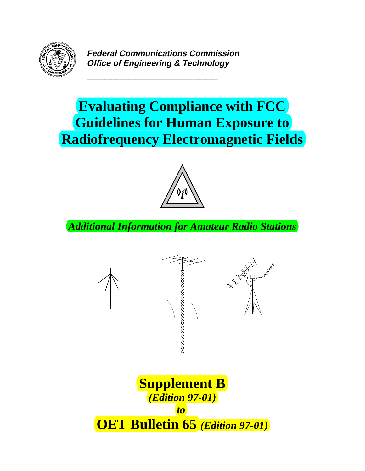

**Federal Communications Commission Office of Engineering & Technology**

**\_\_\_\_\_\_\_\_\_\_\_\_\_\_\_\_\_\_\_\_\_\_**

# **Evaluating Compliance with FCC Guidelines for Human Exposure to Radiofrequency Electromagnetic Fields**



*Additional Information for Amateur Radio Stations*

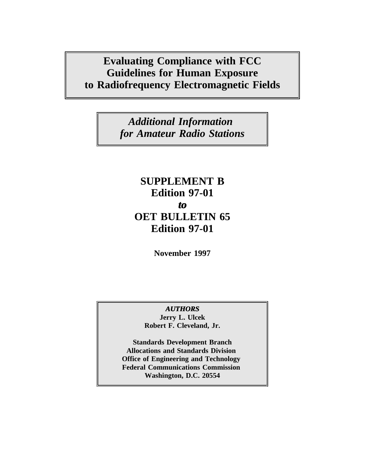**Evaluating Compliance with FCC Guidelines for Human Exposure to Radiofrequency Electromagnetic Fields**

> *Additional Information for Amateur Radio Stations*

# **SUPPLEMENT B Edition 97-01** *to* **OET BULLETIN 65 Edition 97-01**

**November 1997**

#### *AUTHORS*

**Jerry L. Ulcek Robert F. Cleveland, Jr.**

**Standards Development Branch Allocations and Standards Division Office of Engineering and Technology Federal Communications Commission Washington, D.C. 20554**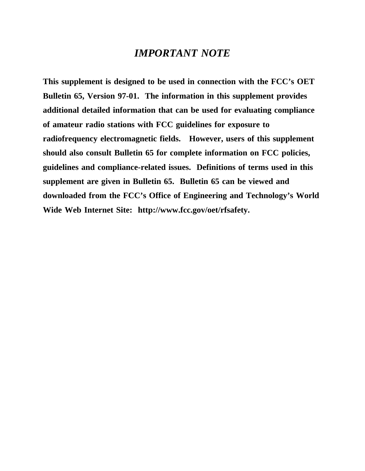# *IMPORTANT NOTE*

**This supplement is designed to be used in connection with the FCC's OET Bulletin 65, Version 97-01. The information in this supplement provides additional detailed information that can be used for evaluating compliance of amateur radio stations with FCC guidelines for exposure to radiofrequency electromagnetic fields. However, users of this supplement should also consult Bulletin 65 for complete information on FCC policies, guidelines and compliance-related issues. Definitions of terms used in this supplement are given in Bulletin 65. Bulletin 65 can be viewed and downloaded from the FCC's Office of Engineering and Technology's World Wide Web Internet Site: http://www.fcc.gov/oet/rfsafety.**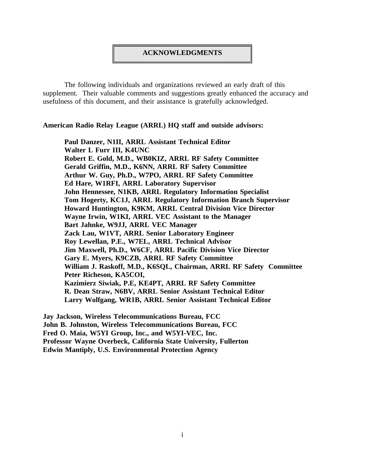#### **ACKNOWLEDGMENTS**

The following individuals and organizations reviewed an early draft of this supplement. Their valuable comments and suggestions greatly enhanced the accuracy and usefulness of this document, and their assistance is gratefully acknowledged.

#### **American Radio Relay League (ARRL) HQ staff and outside advisors:**

**Paul Danzer, N1II, ARRL Assistant Technical Editor Walter L Furr III, K4UNC Robert E. Gold, M.D., WB0KIZ, ARRL RF Safety Committee Gerald Griffin, M.D., K6NN, ARRL RF Safety Committee Arthur W. Guy, Ph.D., W7PO, ARRL RF Safety Committee Ed Hare, W1RFI, ARRL Laboratory Supervisor John Hennessee, N1KB, ARRL Regulatory Information Specialist Tom Hogerty, KC1J, ARRL Regulatory Information Branch Supervisor Howard Huntington, K9KM, ARRL Central Division Vice Director Wayne Irwin, W1KI, ARRL VEC Assistant to the Manager Bart Jahnke, W9JJ, ARRL VEC Manager Zack Lau, W1VT, ARRL Senior Laboratory Engineer Roy Lewellan, P.E., W7EL, ARRL Technical Advisor Jim Maxwell, Ph.D., W6CF, ARRL Pacific Division Vice Director Gary E. Myers, K9CZB, ARRL RF Safety Committee William J. Raskoff, M.D., K6SQL, Chairman, ARRL RF Safety Committee Peter Richeson, KA5COI, Kazimierz Siwiak, P.E, KE4PT, ARRL RF Safety Committee R. Dean Straw, N6BV, ARRL Senior Assistant Technical Editor Larry Wolfgang, WR1B, ARRL Senior Assistant Technical Editor**

**Jay Jackson, Wireless Telecommunications Bureau, FCC John B. Johnston, Wireless Telecommunications Bureau, FCC Fred O. Maia, W5YI Group, Inc., and W5YI-VEC, Inc. Professor Wayne Overbeck, California State University, Fullerton Edwin Mantiply, U.S. Environmental Protection Agency**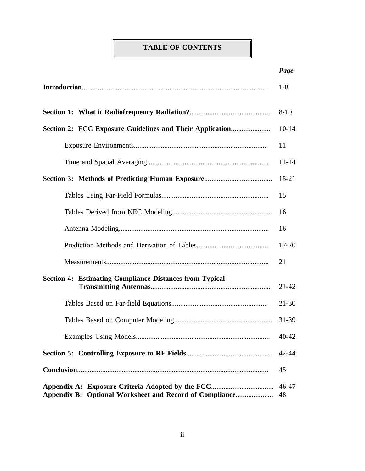# **TABLE OF CONTENTS**

# *Page*

|                                                                | $1 - 8$     |
|----------------------------------------------------------------|-------------|
|                                                                | $8 - 10$    |
| Section 2: FCC Exposure Guidelines and Their Application       | $10-14$     |
|                                                                | 11          |
|                                                                | $11 - 14$   |
|                                                                | $15 - 21$   |
|                                                                | 15          |
|                                                                | 16          |
|                                                                | 16          |
|                                                                | $17 - 20$   |
|                                                                | 21          |
| <b>Section 4: Estimating Compliance Distances from Typical</b> | $21 - 42$   |
|                                                                | $21-30$     |
|                                                                | $31-39$     |
|                                                                | $40 - 42$   |
|                                                                | 42-44       |
|                                                                | 45          |
| Appendix B: Optional Worksheet and Record of Compliance        | 46-47<br>48 |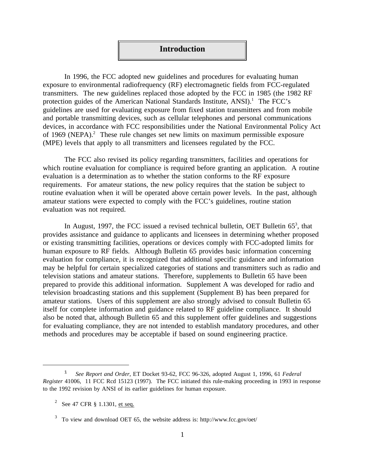#### **Introduction**

In 1996, the FCC adopted new guidelines and procedures for evaluating human exposure to environmental radiofrequency (RF) electromagnetic fields from FCC-regulated transmitters. The new guidelines replaced those adopted by the FCC in 1985 (the 1982 RF protection guides of the American National Standards Institute,  $ANSI$ <sup>1</sup>. The FCC's guidelines are used for evaluating exposure from fixed station transmitters and from mobile and portable transmitting devices, such as cellular telephones and personal communications devices, in accordance with FCC responsibilities under the National Environmental Policy Act of 1969 (NEPA).<sup>2</sup> These rule changes set new limits on maximum permissible exposure (MPE) levels that apply to all transmitters and licensees regulated by the FCC.

The FCC also revised its policy regarding transmitters, facilities and operations for which routine evaluation for compliance is required before granting an application. A routine evaluation is a determination as to whether the station conforms to the RF exposure requirements. For amateur stations, the new policy requires that the station be subject to routine evaluation when it will be operated above certain power levels. In the past, although amateur stations were expected to comply with the FCC's guidelines, routine station evaluation was not required.

In August, 1997, the FCC issued a revised technical bulletin, OET Bulletin  $65<sup>3</sup>$ , that provides assistance and guidance to applicants and licensees in determining whether proposed or existing transmitting facilities, operations or devices comply with FCC-adopted limits for human exposure to RF fields. Although Bulletin 65 provides basic information concerning evaluation for compliance, it is recognized that additional specific guidance and information may be helpful for certain specialized categories of stations and transmitters such as radio and television stations and amateur stations. Therefore, supplements to Bulletin 65 have been prepared to provide this additional information. Supplement A was developed for radio and television broadcasting stations and this supplement (Supplement B) has been prepared for amateur stations. Users of this supplement are also strongly advised to consult Bulletin 65 itself for complete information and guidance related to RF guideline compliance. It should also be noted that, although Bulletin 65 and this supplement offer guidelines and suggestions for evaluating compliance, they are not intended to establish mandatory procedures, and other methods and procedures may be acceptable if based on sound engineering practice.

<sup>1</sup> *See Report and Order*, ET Docket 93-62, FCC 96-326, adopted August 1, 1996, 61 *Federal Register* 41006, 11 FCC Rcd 15123 (1997). The FCC initiated this rule-making proceeding in 1993 in response to the 1992 revision by ANSI of its earlier guidelines for human exposure.

<sup>&</sup>lt;sup>2</sup> See 47 CFR  $\S$  1.1301, et seq.

<sup>3</sup> To view and download OET 65, the website address is: http://www.fcc.gov/oet/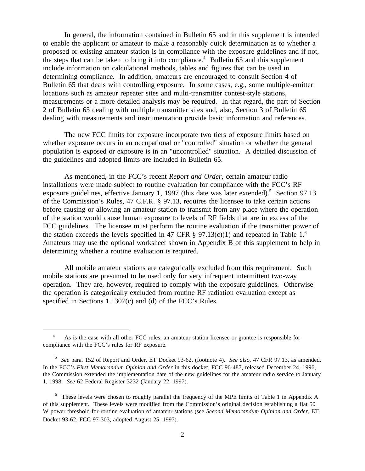In general, the information contained in Bulletin 65 and in this supplement is intended to enable the applicant or amateur to make a reasonably quick determination as to whether a proposed or existing amateur station is in compliance with the exposure guidelines and if not, the steps that can be taken to bring it into compliance.<sup>4</sup> Bulletin  $65$  and this supplement include information on calculational methods, tables and figures that can be used in determining compliance. In addition, amateurs are encouraged to consult Section 4 of Bulletin 65 that deals with controlling exposure. In some cases, e.g., some multiple-emitter locations such as amateur repeater sites and multi-transmitter contest-style stations, measurements or a more detailed analysis may be required. In that regard, the part of Section 2 of Bulletin 65 dealing with multiple transmitter sites and, also, Section 3 of Bulletin 65 dealing with measurements and instrumentation provide basic information and references.

The new FCC limits for exposure incorporate two tiers of exposure limits based on whether exposure occurs in an occupational or "controlled" situation or whether the general population is exposed or exposure is in an "uncontrolled" situation. A detailed discussion of the guidelines and adopted limits are included in Bulletin 65.

As mentioned, in the FCC's recent *Report and Order,* certain amateur radio installations were made subject to routine evaluation for compliance with the FCC's RF exposure guidelines, effective January 1, 1997 (this date was later extended).<sup>5</sup> Section 97.13 of the Commission's Rules, 47 C.F.R. § 97.13, requires the licensee to take certain actions before causing or allowing an amateur station to transmit from any place where the operation of the station would cause human exposure to levels of RF fields that are in excess of the FCC guidelines. The licensee must perform the routine evaluation if the transmitter power of the station exceeds the levels specified in 47 CFR  $\S$  97.13(c)(1) and repeated in Table 1.<sup>6</sup> Amateurs may use the optional worksheet shown in Appendix B of this supplement to help in determining whether a routine evaluation is required.

All mobile amateur stations are categorically excluded from this requirement. Such mobile stations are presumed to be used only for very infrequent intermittent two-way operation. They are, however, required to comply with the exposure guidelines. Otherwise the operation is categorically excluded from routine RF radiation evaluation except as specified in Sections 1.1307(c) and (d) of the FCC's Rules.

<sup>4</sup> As is the case with all other FCC rules, an amateur station licensee or grantee is responsible for compliance with the FCC's rules for RF exposure.

<sup>5</sup> *See* para. 152 of Report and Order, ET Docket 93-62, (footnote 4). *See also*, 47 CFR 97.13, as amended. In the FCC's *First Memorandum Opinion and Order* in this docket, FCC 96-487, released December 24, 1996, the Commission extended the implementation date of the new guidelines for the amateur radio service to January 1, 1998. *See* 62 Federal Register 3232 (January 22, 1997).

<sup>6</sup> These levels were chosen to roughly parallel the frequency of the MPE limits of Table 1 in Appendix A of this supplement. These levels were modified from the Commission's original decision establishing a flat 50 W power threshold for routine evaluation of amateur stations (see *Second Memorandum Opinion and Order*, ET Docket 93-62, FCC 97-303, adopted August 25, 1997).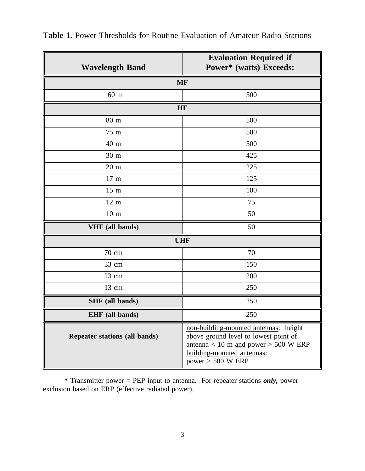| <b>Wavelength Band</b>        | <b>Evaluation Required if</b><br>Power* (watts) Exceeds:                                                                                                                                  |  |  |  |
|-------------------------------|-------------------------------------------------------------------------------------------------------------------------------------------------------------------------------------------|--|--|--|
|                               | <b>MF</b>                                                                                                                                                                                 |  |  |  |
| $160 \text{ m}$               | 500                                                                                                                                                                                       |  |  |  |
|                               | HF                                                                                                                                                                                        |  |  |  |
| 80 m                          | 500                                                                                                                                                                                       |  |  |  |
| 75 m                          | 500                                                                                                                                                                                       |  |  |  |
| 40 m                          | 500                                                                                                                                                                                       |  |  |  |
| 30 m                          | 425                                                                                                                                                                                       |  |  |  |
| $20 \text{ m}$                | 225                                                                                                                                                                                       |  |  |  |
| 17 <sub>m</sub>               | 125                                                                                                                                                                                       |  |  |  |
| 15 <sub>m</sub>               | 100                                                                                                                                                                                       |  |  |  |
| $12 \text{ m}$                | 75                                                                                                                                                                                        |  |  |  |
| 10 <sub>m</sub>               | 50                                                                                                                                                                                        |  |  |  |
| VHF (all bands)               | 50                                                                                                                                                                                        |  |  |  |
|                               | <b>UHF</b>                                                                                                                                                                                |  |  |  |
| 70 cm                         | 70                                                                                                                                                                                        |  |  |  |
| 33 cm                         | 150                                                                                                                                                                                       |  |  |  |
| 23 cm                         | 200                                                                                                                                                                                       |  |  |  |
| 13 cm                         | 250                                                                                                                                                                                       |  |  |  |
| SHF (all bands)               | 250                                                                                                                                                                                       |  |  |  |
| EHF (all bands)               | 250                                                                                                                                                                                       |  |  |  |
| Repeater stations (all bands) | non-building-mounted antennas: height<br>above ground level to lowest point of<br>antenna < 10 m $\frac{and}{and}$ power > 500 W ERP<br>building-mounted antennas:<br>power $> 500$ W ERP |  |  |  |

**Table 1.** Power Thresholds for Routine Evaluation of Amateur Radio Stations

**\*** Transmitter power = PEP input to antenna. For repeater stations *only,* power exclusion based on ERP (effective radiated power).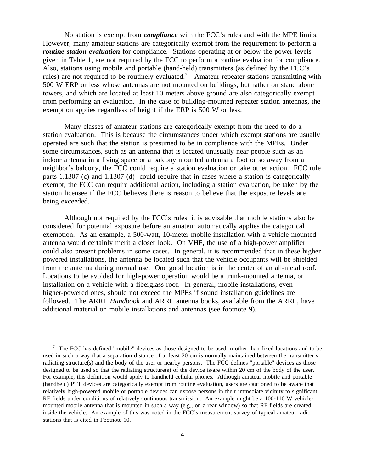No station is exempt from *compliance* with the FCC's rules and with the MPE limits. However, many amateur stations are categorically exempt from the requirement to perform a *routine station evaluation* for compliance. Stations operating at or below the power levels given in Table 1, are not required by the FCC to perform a routine evaluation for compliance. Also, stations using mobile and portable (hand-held) transmitters (as defined by the FCC's rules) are not required to be routinely evaluated.<sup>7</sup> Amateur repeater stations transmitting with 500 W ERP or less whose antennas are not mounted on buildings, but rather on stand alone towers, and which are located at least 10 meters above ground are also categorically exempt from performing an evaluation. In the case of building-mounted repeater station antennas, the exemption applies regardless of height if the ERP is 500 W or less.

Many classes of amateur stations are categorically exempt from the need to do a station evaluation. This is because the circumstances under which exempt stations are usually operated are such that the station is presumed to be in compliance with the MPEs. Under some circumstances, such as an antenna that is located unusually near people such as an indoor antenna in a living space or a balcony mounted antenna a foot or so away from a neighbor's balcony, the FCC could require a station evaluation or take other action. FCC rule parts 1.1307 (c) and 1.1307 (d) could require that in cases where a station is categorically exempt, the FCC can require additional action, including a station evaluation, be taken by the station licensee if the FCC believes there is reason to believe that the exposure levels are being exceeded.

Although not required by the FCC's rules, it is advisable that mobile stations also be considered for potential exposure before an amateur automatically applies the categorical exemption. As an example, a 500-watt, 10-meter mobile installation with a vehicle mounted antenna would certainly merit a closer look. On VHF, the use of a high-power amplifier could also present problems in some cases. In general, it is recommended that in these higher powered installations, the antenna be located such that the vehicle occupants will be shielded from the antenna during normal use. One good location is in the center of an all-metal roof. Locations to be avoided for high-power operation would be a trunk-mounted antenna, or installation on a vehicle with a fiberglass roof. In general, mobile installations, even higher-powered ones, should not exceed the MPEs if sound installation guidelines are followed. The ARRL *Handbook* and ARRL antenna books, available from the ARRL, have additional material on mobile installations and antennas (see footnote 9).

<sup>7</sup> The FCC has defined "mobile" devices as those designed to be used in other than fixed locations and to be used in such a way that a separation distance of at least 20 cm is normally maintained between the transmitter's radiating structure(s) and the body of the user or nearby persons. The FCC defines "portable" devices as those designed to be used so that the radiating structure(s) of the device is/are within 20 cm of the body of the user. For example, this definition would apply to handheld cellular phones. Although amateur mobile and portable (handheld) PTT devices are categorically exempt from routine evaluation, users are cautioned to be aware that relatively high-powered mobile or portable devices can expose persons in their immediate vicinity to significant RF fields under conditions of relatively continuous transmission. An example might be a 100-110 W vehiclemounted mobile antenna that is mounted in such a way (e.g., on a rear window) so that RF fields are created inside the vehicle. An example of this was noted in the FCC's measurement survey of typical amateur radio stations that is cited in Footnote 10.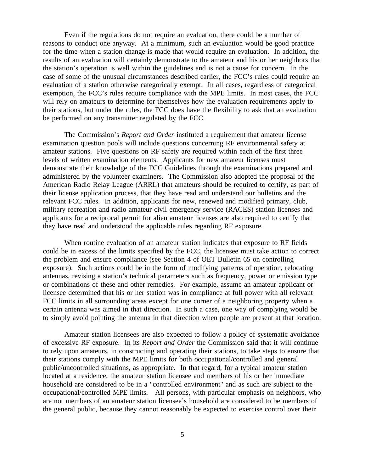Even if the regulations do not require an evaluation, there could be a number of reasons to conduct one anyway. At a minimum, such an evaluation would be good practice for the time when a station change is made that would require an evaluation. In addition, the results of an evaluation will certainly demonstrate to the amateur and his or her neighbors that the station's operation is well within the guidelines and is not a cause for concern. In the case of some of the unusual circumstances described earlier, the FCC's rules could require an evaluation of a station otherwise categorically exempt. In all cases, regardless of categorical exemption, the FCC's rules require compliance with the MPE limits. In most cases, the FCC will rely on amateurs to determine for themselves how the evaluation requirements apply to their stations, but under the rules, the FCC does have the flexibility to ask that an evaluation be performed on any transmitter regulated by the FCC.

The Commission's *Report and Order* instituted a requirement that amateur license examination question pools will include questions concerning RF environmental safety at amateur stations. Five questions on RF safety are required within each of the first three levels of written examination elements. Applicants for new amateur licenses must demonstrate their knowledge of the FCC Guidelines through the examinations prepared and administered by the volunteer examiners. The Commission also adopted the proposal of the American Radio Relay League (ARRL) that amateurs should be required to certify, as part of their license application process, that they have read and understand our bulletins and the relevant FCC rules. In addition, applicants for new, renewed and modified primary, club, military recreation and radio amateur civil emergency service (RACES) station licenses and applicants for a reciprocal permit for alien amateur licenses are also required to certify that they have read and understood the applicable rules regarding RF exposure.

When routine evaluation of an amateur station indicates that exposure to RF fields could be in excess of the limits specified by the FCC, the licensee must take action to correct the problem and ensure compliance (see Section 4 of OET Bulletin 65 on controlling exposure). Such actions could be in the form of modifying patterns of operation, relocating antennas, revising a station's technical parameters such as frequency, power or emission type or combinations of these and other remedies. For example, assume an amateur applicant or licensee determined that his or her station was in compliance at full power with all relevant FCC limits in all surrounding areas except for one corner of a neighboring property when a certain antenna was aimed in that direction. In such a case, one way of complying would be to simply avoid pointing the antenna in that direction when people are present at that location.

Amateur station licensees are also expected to follow a policy of systematic avoidance of excessive RF exposure. In its *Report and Order* the Commission said that it will continue to rely upon amateurs, in constructing and operating their stations, to take steps to ensure that their stations comply with the MPE limits for both occupational/controlled and general public/uncontrolled situations, as appropriate. In that regard, for a typical amateur station located at a residence, the amateur station licensee and members of his or her immediate household are considered to be in a "controlled environment" and as such are subject to the occupational/controlled MPE limits. All persons, with particular emphasis on neighbors, who are not members of an amateur station licensee's household are considered to be members of the general public, because they cannot reasonably be expected to exercise control over their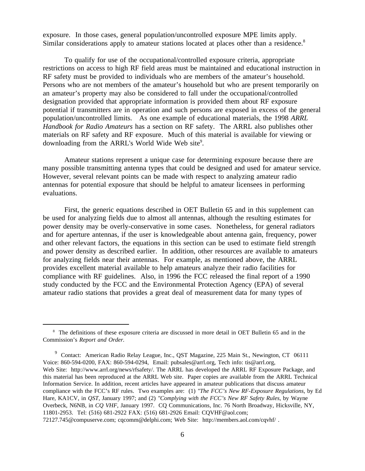exposure. In those cases, general population/uncontrolled exposure MPE limits apply. Similar considerations apply to amateur stations located at places other than a residence.<sup>8</sup>

To qualify for use of the occupational/controlled exposure criteria, appropriate restrictions on access to high RF field areas must be maintained and educational instruction in RF safety must be provided to individuals who are members of the amateur's household. Persons who are not members of the amateur's household but who are present temporarily on an amateur's property may also be considered to fall under the occupational/controlled designation provided that appropriate information is provided them about RF exposure potential if transmitters are in operation and such persons are exposed in excess of the general population/uncontrolled limits. As one example of educational materials, the 1998 *ARRL Handbook for Radio Amateurs* has a section on RF safety. The ARRL also publishes other materials on RF safety and RF exposure. Much of this material is available for viewing or downloading from the ARRL's World Wide Web site<sup>9</sup>.

Amateur stations represent a unique case for determining exposure because there are many possible transmitting antenna types that could be designed and used for amateur service. However, several relevant points can be made with respect to analyzing amateur radio antennas for potential exposure that should be helpful to amateur licensees in performing evaluations.

First, the generic equations described in OET Bulletin 65 and in this supplement can be used for analyzing fields due to almost all antennas, although the resulting estimates for power density may be overly-conservative in some cases. Nonetheless, for general radiators and for aperture antennas, if the user is knowledgeable about antenna gain, frequency, power and other relevant factors, the equations in this section can be used to estimate field strength and power density as described earlier. In addition, other resources are available to amateurs for analyzing fields near their antennas. For example, as mentioned above, the ARRL provides excellent material available to help amateurs analyze their radio facilities for compliance with RF guidelines. Also, in 1996 the FCC released the final report of a 1990 study conducted by the FCC and the Environmental Protection Agency (EPA) of several amateur radio stations that provides a great deal of measurement data for many types of

<sup>&</sup>lt;sup>8</sup> The definitions of these exposure criteria are discussed in more detail in OET Bulletin 65 and in the Commission's *Report and Order.*

<sup>&</sup>lt;sup>9</sup> Contact: American Radio Relay League, Inc., OST Magazine, 225 Main St., Newington, CT 06111 Voice: 860-594-0200, FAX: 860-594-0294, Email: pubsales@arrl.org, Tech info: tis@arrl.org, Web Site: http://www.arrl.org/news/rfsafety/. The ARRL has developed the ARRL RF Exposure Package, and this material has been reproduced at the ARRL Web site. Paper copies are available from the ARRL Technical Information Service. In addition, recent articles have appeared in amateur publications that discuss amateur compliance with the FCC's RF rules. Two examples are: (1) *"The FCC's New RF-Exposure Regulations*, by Ed Hare, KA1CV, in *QST*, January 1997; and (2) *"Complying with the FCC's New RF Safety Rules*, by Wayne Overbeck, N6NB, in *CQ VHF*, January 1997. CQ Communications, Inc. 76 North Broadway, Hicksville, NY, 11801-2953. Tel: (516) 681-2922 FAX: (516) 681-2926 Email: CQVHF@aol.com; 72127.745@compuserve.com; cqcomm@delphi.com; Web Site: http://members.aol.com/cqvhf/ .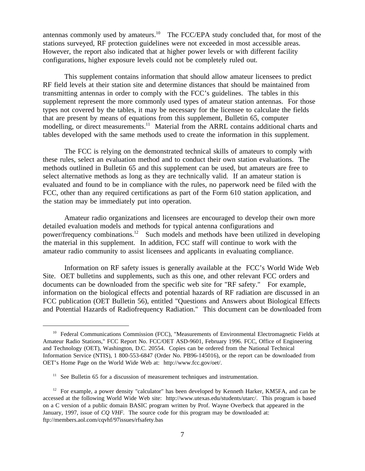antennas commonly used by amateurs.<sup>10</sup> The FCC/EPA study concluded that, for most of the stations surveyed, RF protection guidelines were not exceeded in most accessible areas. However, the report also indicated that at higher power levels or with different facility configurations, higher exposure levels could not be completely ruled out.

This supplement contains information that should allow amateur licensees to predict RF field levels at their station site and determine distances that should be maintained from transmitting antennas in order to comply with the FCC's guidelines. The tables in this supplement represent the more commonly used types of amateur station antennas. For those types not covered by the tables, it may be necessary for the licensee to calculate the fields that are present by means of equations from this supplement, Bulletin 65, computer modelling, or direct measurements.<sup>11</sup> Material from the ARRL contains additional charts and tables developed with the same methods used to create the information in this supplement.

The FCC is relying on the demonstrated technical skills of amateurs to comply with these rules, select an evaluation method and to conduct their own station evaluations. The methods outlined in Bulletin 65 and this supplement can be used, but amateurs are free to select alternative methods as long as they are technically valid. If an amateur station is evaluated and found to be in compliance with the rules, no paperwork need be filed with the FCC, other than any required certifications as part of the Form 610 station application, and the station may be immediately put into operation.

Amateur radio organizations and licensees are encouraged to develop their own more detailed evaluation models and methods for typical antenna configurations and power/frequency combinations.12 Such models and methods have been utilized in developing the material in this supplement. In addition, FCC staff will continue to work with the amateur radio community to assist licensees and applicants in evaluating compliance.

Information on RF safety issues is generally available at the FCC's World Wide Web Site. OET bulletins and supplements, such as this one, and other relevant FCC orders and documents can be downloaded from the specific web site for "RF safety." For example, information on the biological effects and potential hazards of RF radiation are discussed in an FCC publication (OET Bulletin 56), entitled "Questions and Answers about Biological Effects and Potential Hazards of Radiofrequency Radiation." This document can be downloaded from

<sup>&</sup>lt;sup>10</sup> Federal Communications Commission (FCC), "Measurements of Environmental Electromagnetic Fields at Amateur Radio Stations," FCC Report No. FCC/OET ASD-9601, February 1996. FCC, Office of Engineering and Technology (OET), Washington, D.C. 20554. Copies can be ordered from the National Technical Information Service (NTIS), 1 800-553-6847 (Order No. PB96-145016), or the report can be downloaded from OET's Home Page on the World Wide Web at: http://www.fcc.gov/oet/.

<sup>&</sup>lt;sup>11</sup> See Bulletin 65 for a discussion of measurement techniques and instrumentation.

 $12$  For example, a power density "calculator" has been developed by Kenneth Harker, KM5FA, and can be accessed at the following World Wide Web site: http://www.utexas.edu/students/utarc/. This program is based on a C version of a public domain BASIC program written by Prof. Wayne Overbeck that appeared in the January, 1997, issue of *CQ VHF*. The source code for this program may be downloaded at: ftp://members.aol.com/cqvhf/97issues/rfsafety.bas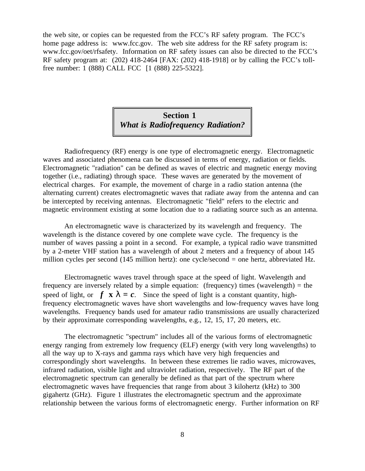the web site, or copies can be requested from the FCC's RF safety program. The FCC's home page address is: www.fcc.gov. The web site address for the RF safety program is: www.fcc.gov/oet/rfsafety. Information on RF safety issues can also be directed to the FCC's RF safety program at: (202) 418-2464 [FAX: (202) 418-1918] or by calling the FCC's tollfree number: 1 (888) CALL FCC [1 (888) 225-5322].

> **Section 1** *What is Radiofrequency Radiation?*

Radiofrequency (RF) energy is one type of electromagnetic energy. Electromagnetic waves and associated phenomena can be discussed in terms of energy, radiation or fields. Electromagnetic "radiation" can be defined as waves of electric and magnetic energy moving together (i.e., radiating) through space. These waves are generated by the movement of electrical charges. For example, the movement of charge in a radio station antenna (the alternating current) creates electromagnetic waves that radiate away from the antenna and can be intercepted by receiving antennas. Electromagnetic "field" refers to the electric and magnetic environment existing at some location due to a radiating source such as an antenna.

An electromagnetic wave is characterized by its wavelength and frequency. The wavelength is the distance covered by one complete wave cycle. The frequency is the number of waves passing a point in a second. For example, a typical radio wave transmitted by a 2-meter VHF station has a wavelength of about 2 meters and a frequency of about 145 million cycles per second (145 million hertz): one cycle/second = one hertz, abbreviated Hz.

Electromagnetic waves travel through space at the speed of light. Wavelength and frequency are inversely related by a simple equation: (frequency) times (wavelength) = the speed of light, or  $f \times \lambda = c$ . Since the speed of light is a constant quantity, highfrequency electromagnetic waves have short wavelengths and low-frequency waves have long wavelengths. Frequency bands used for amateur radio transmissions are usually characterized by their approximate corresponding wavelengths, e.g., 12, 15, 17, 20 meters, etc.

The electromagnetic "spectrum" includes all of the various forms of electromagnetic energy ranging from extremely low frequency (ELF) energy (with very long wavelengths) to all the way up to X-rays and gamma rays which have very high frequencies and correspondingly short wavelengths. In between these extremes lie radio waves, microwaves, infrared radiation, visible light and ultraviolet radiation, respectively. The RF part of the electromagnetic spectrum can generally be defined as that part of the spectrum where electromagnetic waves have frequencies that range from about 3 kilohertz (kHz) to 300 gigahertz (GHz). Figure 1 illustrates the electromagnetic spectrum and the approximate relationship between the various forms of electromagnetic energy. Further information on RF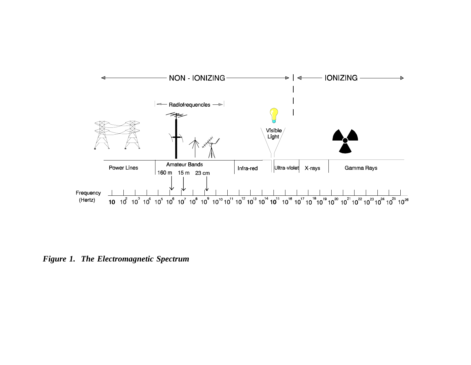

*Figure 1. The Electromagnetic Spectrum*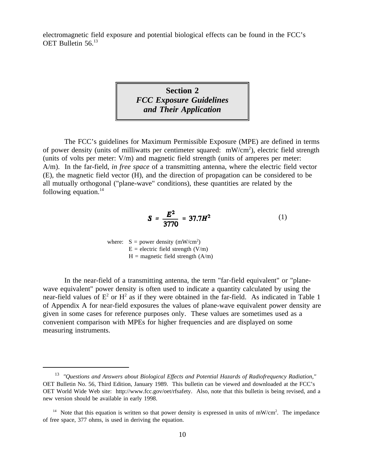electromagnetic field exposure and potential biological effects can be found in the FCC's OET Bulletin 56.<sup>13</sup>

> **Section 2** *FCC Exposure Guidelines and Their Application*

The FCC's guidelines for Maximum Permissible Exposure (MPE) are defined in terms of power density (units of milliwatts per centimeter squared: mW/cm<sup>2</sup>), electric field strength (units of volts per meter: V/m) and magnetic field strength (units of amperes per meter: A/m). In the far-field, *in free space* of a transmitting antenna, where the electric field vector (E), the magnetic field vector (H), and the direction of propagation can be considered to be all mutually orthogonal ("plane-wave" conditions), these quantities are related by the following equation. $14$ 

$$
S = \frac{E^2}{3770} = 37.7H^2
$$
 (1)

where:  $S = power density (mW/cm<sup>2</sup>)$  $E =$  electric field strength  $(V/m)$  $H =$  magnetic field strength  $(A/m)$ 

In the near-field of a transmitting antenna, the term "far-field equivalent" or "planewave equivalent" power density is often used to indicate a quantity calculated by using the near-field values of  $E^2$  or  $H^2$  as if they were obtained in the far-field. As indicated in Table 1 of Appendix A for near-field exposures the values of plane-wave equivalent power density are given in some cases for reference purposes only. These values are sometimes used as a convenient comparison with MPEs for higher frequencies and are displayed on some measuring instruments.

<sup>13</sup> *"Questions and Answers about Biological Effects and Potential Hazards of Radiofrequency Radiation,"* OET Bulletin No. 56, Third Edition, January 1989. This bulletin can be viewed and downloaded at the FCC's OET World Wide Web site: http://www.fcc.gov/oet/rfsafety. Also, note that this bulletin is being revised, and a new version should be available in early 1998.

<sup>&</sup>lt;sup>14</sup> Note that this equation is written so that power density is expressed in units of mW/cm<sup>2</sup>. The impedance of free space, 377 ohms, is used in deriving the equation.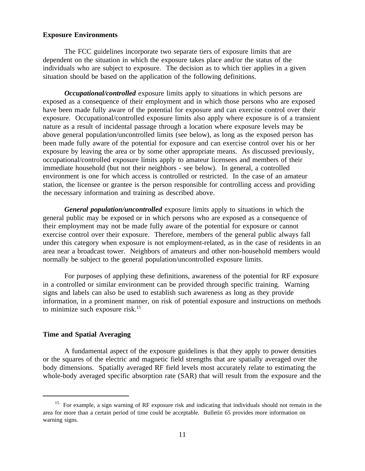#### **Exposure Environments**

The FCC guidelines incorporate two separate tiers of exposure limits that are dependent on the situation in which the exposure takes place and/or the status of the individuals who are subject to exposure. The decision as to which tier applies in a given situation should be based on the application of the following definitions.

*Occupational/controlled* exposure limits apply to situations in which persons are exposed as a consequence of their employment and in which those persons who are exposed have been made fully aware of the potential for exposure and can exercise control over their exposure. Occupational/controlled exposure limits also apply where exposure is of a transient nature as a result of incidental passage through a location where exposure levels may be above general population/uncontrolled limits (see below), as long as the exposed person has been made fully aware of the potential for exposure and can exercise control over his or her exposure by leaving the area or by some other appropriate means. As discussed previously, occupational/controlled exposure limits apply to amateur licensees and members of their immediate household (but not their neighbors - see below). In general, a controlled environment is one for which access is controlled or restricted. In the case of an amateur station, the licensee or grantee is the person responsible for controlling access and providing the necessary information and training as described above.

*General population/uncontrolled* exposure limits apply to situations in which the general public may be exposed or in which persons who are exposed as a consequence of their employment may not be made fully aware of the potential for exposure or cannot exercise control over their exposure. Therefore, members of the general public always fall under this category when exposure is not employment-related, as in the case of residents in an area near a broadcast tower. Neighbors of amateurs and other non-household members would normally be subject to the general population/uncontrolled exposure limits.

For purposes of applying these definitions, awareness of the potential for RF exposure in a controlled or similar environment can be provided through specific training. Warning signs and labels can also be used to establish such awareness as long as they provide information, in a prominent manner, on risk of potential exposure and instructions on methods to minimize such exposure risk. $15$ 

#### **Time and Spatial Averaging**

A fundamental aspect of the exposure guidelines is that they apply to power densities or the squares of the electric and magnetic field strengths that are spatially averaged over the body dimensions. Spatially averaged RF field levels most accurately relate to estimating the whole-body averaged specific absorption rate (SAR) that will result from the exposure and the

<sup>&</sup>lt;sup>15</sup> For example, a sign warning of RF exposure risk and indicating that individuals should not remain in the area for more than a certain period of time could be acceptable. Bulletin 65 provides more information on warning signs.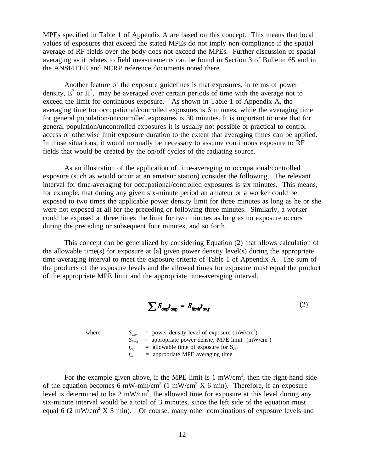MPEs specified in Table 1 of Appendix A are based on this concept. This means that local values of exposures that exceed the stated MPEs do not imply non-compliance if the spatial average of RF fields over the body does not exceed the MPEs. Further discussion of spatial averaging as it relates to field measurements can be found in Section 3 of Bulletin 65 and in the ANSI/IEEE and NCRP reference documents noted there.

Another feature of the exposure guidelines is that exposures, in terms of power density,  $E^2$  or  $H^2$ , may be averaged over certain periods of time with the average not to exceed the limit for continuous exposure. As shown in Table 1 of Appendix A, the averaging time for occupational/controlled exposures is 6 minutes, while the averaging time for general population/uncontrolled exposures is 30 minutes. It is important to note that for general population/uncontrolled exposures it is usually not possible or practical to control access or otherwise limit exposure duration to the extent that averaging times can be applied. In those situations, it would normally be necessary to assume continuous exposure to RF fields that would be created by the on/off cycles of the radiating source.

As an illustration of the application of time-averaging to occupational/controlled exposure (such as would occur at an amateur station) consider the following. The relevant interval for time-averaging for occupational/controlled exposures is six minutes. This means, for example, that during any given six-minute period an amateur or a worker could be exposed to two times the applicable power density limit for three minutes as long as he or she were not exposed at all for the preceding or following three minutes. Similarly, a worker could be exposed at three times the limit for two minutes as long as no exposure occurs during the preceding or subsequent four minutes, and so forth.

This concept can be generalized by considering Equation (2) that allows calculation of the allowable time(s) for exposure at [a] given power density level(s) during the appropriate time-averaging interval to meet the exposure criteria of Table 1 of Appendix A. The sum of the products of the exposure levels and the allowed times for exposure must equal the product of the appropriate MPE limit and the appropriate time-averaging interval.

$$
\sum S_{\rm exp} t_{\rm exp} = S_{\rm limit} t_{\rm avg} \tag{2}
$$

where:  $S_{exp}$  = power density level of exposure  $(mW/cm^2)$  $S_{limit}$  = appropriate power density MPE limit (mW/cm<sup>2</sup>)  $t_{exp}$  = allowable time of exposure for  $S_{exp}$  $t_{avg}$  = appropriate MPE averaging time

For the example given above, if the MPE limit is  $1 \text{ mW/cm}^2$ , then the right-hand side of the equation becomes 6 mW-min/cm<sup>2</sup> (1 mW/cm<sup>2</sup> X 6 min). Therefore, if an exposure level is determined to be 2 mW/cm<sup>2</sup>, the allowed time for exposure at this level during any six-minute interval would be a total of 3 minutes, since the left side of the equation must equal 6 (2 mW/cm<sup>2</sup> X 3 min). Of course, many other combinations of exposure levels and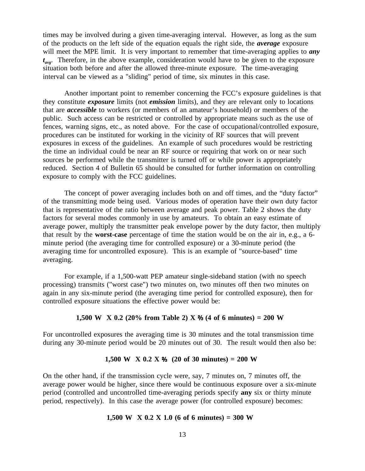times may be involved during a given time-averaging interval. However, as long as the sum of the products on the left side of the equation equals the right side, the *average* exposure will meet the MPE limit. It is very important to remember that time-averaging applies to *any*  $t_{ave}$ . Therefore, in the above example, consideration would have to be given to the exposure situation both before and after the allowed three-minute exposure. The time-averaging interval can be viewed as a "sliding" period of time, six minutes in this case.

Another important point to remember concerning the FCC's exposure guidelines is that they constitute *exposure* limits (not *emission* limits), and they are relevant only to locations that are *accessible* to workers (or members of an amateur's household) or members of the public. Such access can be restricted or controlled by appropriate means such as the use of fences, warning signs, etc., as noted above. For the case of occupational/controlled exposure, procedures can be instituted for working in the vicinity of RF sources that will prevent exposures in excess of the guidelines. An example of such procedures would be restricting the time an individual could be near an RF source or requiring that work on or near such sources be performed while the transmitter is turned off or while power is appropriately reduced. Section 4 of Bulletin 65 should be consulted for further information on controlling exposure to comply with the FCC guidelines.

The concept of power averaging includes both on and off times, and the "duty factor" of the transmitting mode being used. Various modes of operation have their own duty factor that is representative of the ratio between average and peak power. Table 2 shows the duty factors for several modes commonly in use by amateurs. To obtain an easy estimate of average power, multiply the transmitter peak envelope power by the duty factor, then multiply that result by the **worst-case** percentage of time the station would be on the air in, e.g., a 6 minute period (the averaging time for controlled exposure) or a 30-minute period (the averaging time for uncontrolled exposure). This is an example of "source-based" time averaging.

For example, if a 1,500-watt PEP amateur single-sideband station (with no speech processing) transmits ("worst case") two minutes on, two minutes off then two minutes on again in any six-minute period (the averaging time period for controlled exposure), then for controlled exposure situations the effective power would be:

#### **1,500 W** X 0.2 (20% from Table 2) X % (4 of 6 minutes) = 200 W

For uncontrolled exposures the averaging time is 30 minutes and the total transmission time during any 30-minute period would be 20 minutes out of 30. The result would then also be:

#### **1,500 W**  $\text{X } 0.2 \text{ X } 34$  (20 of 30 minutes) = 200 W

On the other hand, if the transmission cycle were, say, 7 minutes on, 7 minutes off, the average power would be higher, since there would be continuous exposure over a six-minute period (controlled and uncontrolled time-averaging periods specify **any** six or thirty minute period, respectively). In this case the average power (for controlled exposure) becomes:

#### **1,500 W X 0.2 X 1.0 (6 of 6 minutes) = 300 W**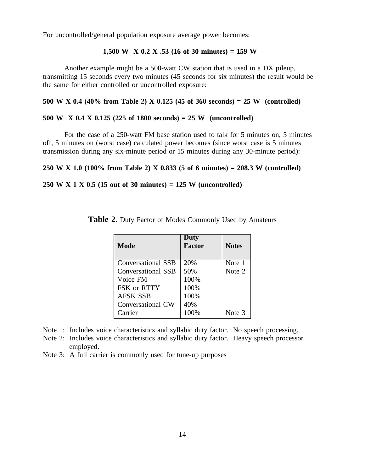For uncontrolled/general population exposure average power becomes:

#### **1,500 W X 0.2 X .53 (16 of 30 minutes) = 159 W**

Another example might be a 500-watt CW station that is used in a DX pileup, transmitting 15 seconds every two minutes (45 seconds for six minutes) the result would be the same for either controlled or uncontrolled exposure:

#### **500 W X 0.4 (40% from Table 2) X 0.125 (45 of 360 seconds) = 25 W (controlled)**

#### **500 W X 0.4 X 0.125 (225 of 1800 seconds) = 25 W (uncontrolled)**

For the case of a 250-watt FM base station used to talk for 5 minutes on, 5 minutes off, 5 minutes on (worst case) calculated power becomes (since worst case is 5 minutes transmission during any six-minute period or 15 minutes during any 30-minute period):

#### **250 W X 1.0 (100% from Table 2) X 0.833 (5 of 6 minutes) = 208.3 W (controlled)**

#### **250 W X 1 X 0.5 (15 out of 30 minutes) = 125 W (uncontrolled)**

| Mode                      | Duty<br><b>Factor</b> | <b>Notes</b> |
|---------------------------|-----------------------|--------------|
| <b>Conversational SSB</b> | 20%                   | Note 1       |
| <b>Conversational SSB</b> | 50%                   | Note 2       |
| Voice FM                  | 100%                  |              |
| FSK or RTTY               | 100%                  |              |
| <b>AFSK SSB</b>           | 100%                  |              |
| Conversational CW         | 40%                   |              |
| <b>Parrier</b>            |                       | Note 3       |

**Table 2.** Duty Factor of Modes Commonly Used by Amateurs

- Note 1: Includes voice characteristics and syllabic duty factor. No speech processing.
- Note 2: Includes voice characteristics and syllabic duty factor. Heavy speech processor employed.
- Note 3: A full carrier is commonly used for tune-up purposes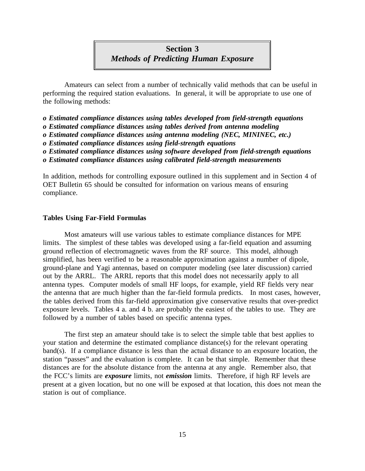# **Section 3** *Methods of Predicting Human Exposure*

Amateurs can select from a number of technically valid methods that can be useful in performing the required station evaluations. In general, it will be appropriate to use one of the following methods:

*o Estimated compliance distances using tables developed from field-strength equations o Estimated compliance distances using tables derived from antenna modeling o Estimated compliance distances using antenna modeling (NEC, MININEC, etc.) o Estimated compliance distances using field-strength equations o Estimated compliance distances using software developed from field-strength equations*

*o Estimated compliance distances using calibrated field-strength measurements*

In addition, methods for controlling exposure outlined in this supplement and in Section 4 of OET Bulletin 65 should be consulted for information on various means of ensuring compliance.

#### **Tables Using Far-Field Formulas**

Most amateurs will use various tables to estimate compliance distances for MPE limits. The simplest of these tables was developed using a far-field equation and assuming ground reflection of electromagnetic waves from the RF source. This model, although simplified, has been verified to be a reasonable approximation against a number of dipole, ground-plane and Yagi antennas, based on computer modeling (see later discussion) carried out by the ARRL. The ARRL reports that this model does not necessarily apply to all antenna types. Computer models of small HF loops, for example, yield RF fields very near the antenna that are much higher than the far-field formula predicts. In most cases, however, the tables derived from this far-field approximation give conservative results that over-predict exposure levels. Tables 4 a. and 4 b. are probably the easiest of the tables to use. They are followed by a number of tables based on specific antenna types.

The first step an amateur should take is to select the simple table that best applies to your station and determine the estimated compliance distance(s) for the relevant operating band(s). If a compliance distance is less than the actual distance to an exposure location, the station "passes" and the evaluation is complete. It can be that simple. Remember that these distances are for the absolute distance from the antenna at any angle. Remember also, that the FCC's limits are *exposure* limits, not *emission* limits. Therefore, if high RF levels are present at a given location, but no one will be exposed at that location, this does not mean the station is out of compliance.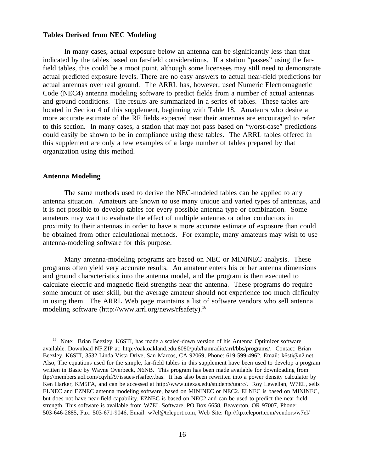#### **Tables Derived from NEC Modeling**

In many cases, actual exposure below an antenna can be significantly less than that indicated by the tables based on far-field considerations. If a station "passes" using the farfield tables, this could be a moot point, although some licensees may still need to demonstrate actual predicted exposure levels. There are no easy answers to actual near-field predictions for actual antennas over real ground. The ARRL has, however, used Numeric Electromagnetic Code (NEC4) antenna modeling software to predict fields from a number of actual antennas and ground conditions. The results are summarized in a series of tables. These tables are located in Section 4 of this supplement, beginning with Table 18. Amateurs who desire a more accurate estimate of the RF fields expected near their antennas are encouraged to refer to this section. In many cases, a station that may not pass based on "worst-case" predictions could easily be shown to be in compliance using these tables. The ARRL tables offered in this supplement are only a few examples of a large number of tables prepared by that organization using this method.

#### **Antenna Modeling**

The same methods used to derive the NEC-modeled tables can be applied to any antenna situation. Amateurs are known to use many unique and varied types of antennas, and it is not possible to develop tables for every possible antenna type or combination. Some amateurs may want to evaluate the effect of multiple antennas or other conductors in proximity to their antennas in order to have a more accurate estimate of exposure than could be obtained from other calculational methods. For example, many amateurs may wish to use antenna-modeling software for this purpose.

Many antenna-modeling programs are based on NEC or MININEC analysis. These programs often yield very accurate results. An amateur enters his or her antenna dimensions and ground characteristics into the antenna model, and the program is then executed to calculate electric and magnetic field strengths near the antenna. These programs do require some amount of user skill, but the average amateur should not experience too much difficulty in using them. The ARRL Web page maintains a list of software vendors who sell antenna modeling software (http://www.arrl.org/news/rfsafety).<sup>16</sup>

<sup>&</sup>lt;sup>16</sup> Note: Brian Beezley, K6STI, has made a scaled-down version of his Antenna Optimizer software available. Download NF.ZIP at: http://oak.oakland.edu:8080/pub/hamradio/arrl/bbs/programs/. Contact: Brian Beezley, K6STI, 3532 Linda Vista Drive, San Marcos, CA 92069, Phone: 619-599-4962, Email: k6sti@n2.net. Also, The equations used for the simple, far-field tables in this supplement have been used to develop a program written in Basic by Wayne Overbeck, N6NB. This program has been made available for downloading from ftp://members.aol.com/cqvhf/97issues/rfsafety.bas. It has also been rewritten into a power density calculator by Ken Harker, KM5FA, and can be accessed at http://www.utexas.edu/students/utarc/. Roy Lewellan, W7EL, sells ELNEC and EZNEC antenna modeling software, based on MININEC or NEC2. ELNEC is based on MININEC, but does not have near-field capability. EZNEC is based on NEC2 and can be used to predict the near field strength. This software is available from W7EL Software, PO Box 6658, Beaverton, OR 97007, Phone: 503-646-2885, Fax: 503-671-9046, Email: w7el@teleport.com, Web Site: ftp://ftp.teleport.com/vendors/w7el/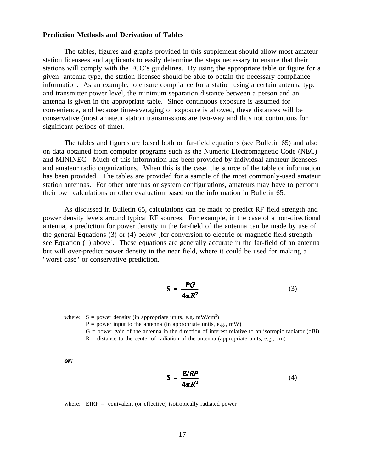#### **Prediction Methods and Derivation of Tables**

The tables, figures and graphs provided in this supplement should allow most amateur station licensees and applicants to easily determine the steps necessary to ensure that their stations will comply with the FCC's guidelines. By using the appropriate table or figure for a given antenna type, the station licensee should be able to obtain the necessary compliance information. As an example, to ensure compliance for a station using a certain antenna type and transmitter power level, the minimum separation distance between a person and an antenna is given in the appropriate table. Since continuous exposure is assumed for convenience, and because time-averaging of exposure is allowed, these distances will be conservative (most amateur station transmissions are two-way and thus not continuous for significant periods of time).

The tables and figures are based both on far-field equations (see Bulletin 65) and also on data obtained from computer programs such as the Numeric Electromagnetic Code (NEC) and MININEC. Much of this information has been provided by individual amateur licensees and amateur radio organizations. When this is the case, the source of the table or information has been provided. The tables are provided for a sample of the most commonly-used amateur station antennas. For other antennas or system configurations, amateurs may have to perform their own calculations or other evaluation based on the information in Bulletin 65.

As discussed in Bulletin 65, calculations can be made to predict RF field strength and power density levels around typical RF sources. For example, in the case of a non-directional antenna, a prediction for power density in the far-field of the antenna can be made by use of the general Equations (3) or (4) below [for conversion to electric or magnetic field strength see Equation (1) above]. These equations are generally accurate in the far-field of an antenna but will over-predict power density in the near field, where it could be used for making a "worst case" or conservative prediction.

$$
S = \frac{PG}{4\pi R^2}
$$
 (3)

where:  $S = power$  density (in appropriate units, e.g. mW/cm<sup>2</sup>)  $P = power input to the antenna (in appropriate units, e.g., mW)$  $G =$  power gain of the antenna in the direction of interest relative to an isotropic radiator (dBi)  $R =$  distance to the center of radiation of the antenna (appropriate units, e.g., cm)

*or:*

$$
S = \frac{EIRP}{4\pi R^2} \tag{4}
$$

where:  $EIRP =$  equivalent (or effective) isotropically radiated power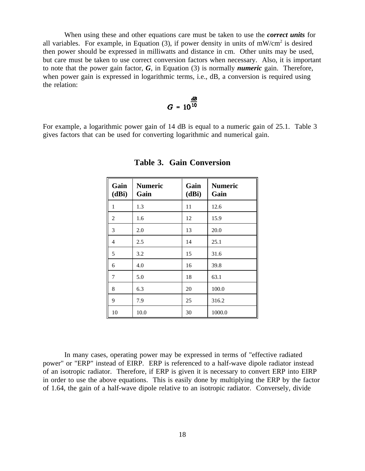When using these and other equations care must be taken to use the *correct units* for all variables. For example, in Equation (3), if power density in units of  $mW/cm<sup>2</sup>$  is desired then power should be expressed in milliwatts and distance in cm. Other units may be used, but care must be taken to use correct conversion factors when necessary. Also, it is important to note that the power gain factor, *G*, in Equation (3) is normally *numeric* gain. Therefore, when power gain is expressed in logarithmic terms, i.e., dB, a conversion is required using the relation:

$$
G = 10^{\frac{dB}{10}}
$$

For example, a logarithmic power gain of 14 dB is equal to a numeric gain of 25.1. Table 3 gives factors that can be used for converting logarithmic and numerical gain.

| Gain<br>(dBi)  | <b>Numeric</b><br>Gain | Gain<br>(dBi) | <b>Numeric</b><br>Gain |
|----------------|------------------------|---------------|------------------------|
| 1              | 1.3                    | 11            | 12.6                   |
| $\overline{2}$ | 1.6                    | 12            | 15.9                   |
| 3              | 2.0                    | 13            | 20.0                   |
| 4              | 2.5                    | 14            | 25.1                   |
| 5              | 3.2                    | 15            | 31.6                   |
| 6              | 4.0                    | 16            | 39.8                   |
| 7              | 5.0                    | 18            | 63.1                   |
| 8              | 6.3                    | 20            | 100.0                  |
| 9              | 7.9                    | 25            | 316.2                  |
| 10             | 10.0                   | 30            | 1000.0                 |

**Table 3. Gain Conversion**

In many cases, operating power may be expressed in terms of "effective radiated power" or "ERP" instead of EIRP. ERP is referenced to a half-wave dipole radiator instead of an isotropic radiator. Therefore, if ERP is given it is necessary to convert ERP into EIRP in order to use the above equations. This is easily done by multiplying the ERP by the factor of 1.64, the gain of a half-wave dipole relative to an isotropic radiator. Conversely, divide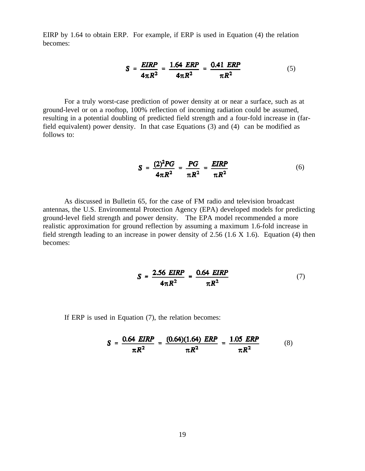EIRP by 1.64 to obtain ERP. For example, if ERP is used in Equation (4) the relation becomes:

$$
S = \frac{EIRP}{4\pi R^2} = \frac{1.64 \text{ } ERP}{4\pi R^2} = \frac{0.41 \text{ } ERP}{\pi R^2} \tag{5}
$$

For a truly worst-case prediction of power density at or near a surface, such as at ground-level or on a rooftop, 100% reflection of incoming radiation could be assumed, resulting in a potential doubling of predicted field strength and a four-fold increase in (farfield equivalent) power density. In that case Equations (3) and (4) can be modified as follows to:

$$
S = \frac{(2)^2 PG}{4 \pi R^2} = \frac{PG}{\pi R^2} = \frac{EIRP}{\pi R^2}
$$
 (6)

As discussed in Bulletin 65, for the case of FM radio and television broadcast antennas, the U.S. Environmental Protection Agency (EPA) developed models for predicting ground-level field strength and power density. The EPA model recommended a more realistic approximation for ground reflection by assuming a maximum 1.6-fold increase in field strength leading to an increase in power density of 2.56 (1.6 X 1.6). Equation (4) then becomes:

$$
S = \frac{2.56 \text{ EIRP}}{4\pi R^2} = \frac{0.64 \text{ EIRP}}{\pi R^2} \tag{7}
$$

If ERP is used in Equation (7), the relation becomes:

$$
S = \frac{0.64 \text{ EIRP}}{\pi R^2} = \frac{(0.64)(1.64) \text{ ERP}}{\pi R^2} = \frac{1.05 \text{ ERP}}{\pi R^2}
$$
(8)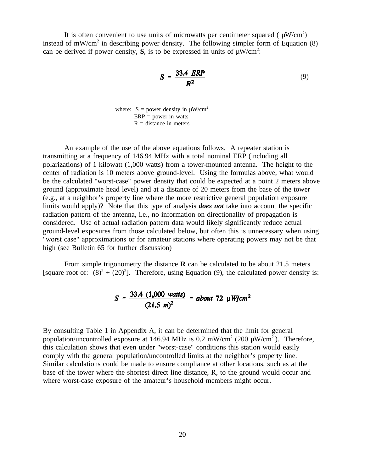It is often convenient to use units of microwatts per centimeter squared ( $\mu$ W/cm<sup>2</sup>) instead of  $mW/cm<sup>2</sup>$  in describing power density. The following simpler form of Equation (8) can be derived if power density, S, is to be expressed in units of  $\mu$ W/cm<sup>2</sup>:

$$
S = \frac{33.4 \text{ ERP}}{R^2} \tag{9}
$$

where:  $S = power$  density in  $\mu W/cm^2$  $ERP = power in watts$  $R = distance$  in meters

An example of the use of the above equations follows. A repeater station is transmitting at a frequency of 146.94 MHz with a total nominal ERP (including all polarizations) of 1 kilowatt (1,000 watts) from a tower-mounted antenna. The height to the center of radiation is 10 meters above ground-level. Using the formulas above, what would be the calculated "worst-case" power density that could be expected at a point 2 meters above ground (approximate head level) and at a distance of 20 meters from the base of the tower (e.g., at a neighbor's property line where the more restrictive general population exposure limits would apply)? Note that this type of analysis *does not* take into account the specific radiation pattern of the antenna, i.e., no information on directionality of propagation is considered. Use of actual radiation pattern data would likely significantly reduce actual ground-level exposures from those calculated below, but often this is unnecessary when using "worst case" approximations or for amateur stations where operating powers may not be that high (see Bulletin 65 for further discussion)

From simple trigonometry the distance **R** can be calculated to be about 21.5 meters [square root of:  $(8)^2 + (20)^2$ ]. Therefore, using Equation (9), the calculated power density is:

$$
S = \frac{33.4 (1,000 \text{ watts})}{(21.5 \text{ m})^2} = about 72 \text{ }\mu\text{W/cm}^2
$$

By consulting Table 1 in Appendix A, it can be determined that the limit for general population/uncontrolled exposure at 146.94 MHz is 0.2 mW/cm<sup>2</sup> (200  $\mu$ W/cm<sup>2</sup>). Therefore, this calculation shows that even under "worst-case" conditions this station would easily comply with the general population/uncontrolled limits at the neighbor's property line. Similar calculations could be made to ensure compliance at other locations, such as at the base of the tower where the shortest direct line distance, R, to the ground would occur and where worst-case exposure of the amateur's household members might occur.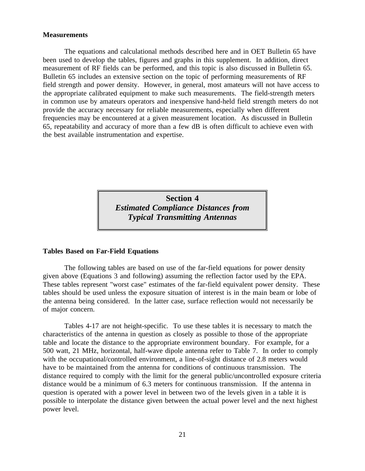#### **Measurements**

The equations and calculational methods described here and in OET Bulletin 65 have been used to develop the tables, figures and graphs in this supplement. In addition, direct measurement of RF fields can be performed, and this topic is also discussed in Bulletin 65. Bulletin 65 includes an extensive section on the topic of performing measurements of RF field strength and power density. However, in general, most amateurs will not have access to the appropriate calibrated equipment to make such measurements. The field-strength meters in common use by amateurs operators and inexpensive hand-held field strength meters do not provide the accuracy necessary for reliable measurements, especially when different frequencies may be encountered at a given measurement location. As discussed in Bulletin 65, repeatability and accuracy of more than a few dB is often difficult to achieve even with the best available instrumentation and expertise.

> **Section 4** *Estimated Compliance Distances from Typical Transmitting Antennas*

#### **Tables Based on Far-Field Equations**

The following tables are based on use of the far-field equations for power density given above (Equations 3 and following) assuming the reflection factor used by the EPA. These tables represent "worst case" estimates of the far-field equivalent power density. These tables should be used unless the exposure situation of interest is in the main beam or lobe of the antenna being considered. In the latter case, surface reflection would not necessarily be of major concern.

Tables 4-17 are not height-specific. To use these tables it is necessary to match the characteristics of the antenna in question as closely as possible to those of the appropriate table and locate the distance to the appropriate environment boundary. For example, for a 500 watt, 21 MHz, horizontal, half-wave dipole antenna refer to Table 7. In order to comply with the occupational/controlled environment, a line-of-sight distance of 2.8 meters would have to be maintained from the antenna for conditions of continuous transmission. The distance required to comply with the limit for the general public/uncontrolled exposure criteria distance would be a minimum of 6.3 meters for continuous transmission. If the antenna in question is operated with a power level in between two of the levels given in a table it is possible to interpolate the distance given between the actual power level and the next highest power level.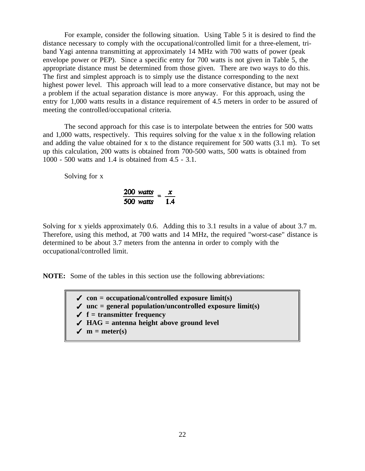For example, consider the following situation. Using Table 5 it is desired to find the distance necessary to comply with the occupational/controlled limit for a three-element, triband Yagi antenna transmitting at approximately 14 MHz with 700 watts of power (peak envelope power or PEP). Since a specific entry for 700 watts is not given in Table 5, the appropriate distance must be determined from those given. There are two ways to do this. The first and simplest approach is to simply use the distance corresponding to the next highest power level. This approach will lead to a more conservative distance, but may not be a problem if the actual separation distance is more anyway. For this approach, using the entry for 1,000 watts results in a distance requirement of 4.5 meters in order to be assured of meeting the controlled/occupational criteria.

The second approach for this case is to interpolate between the entries for 500 watts and 1,000 watts, respectively. This requires solving for the value x in the following relation and adding the value obtained for x to the distance requirement for 500 watts (3.1 m). To set up this calculation, 200 watts is obtained from 700-500 watts, 500 watts is obtained from 1000 - 500 watts and 1.4 is obtained from 4.5 - 3.1.

Solving for x

$$
\frac{200 \text{ watts}}{500 \text{ watts}} = \frac{x}{1.4}
$$

Solving for x yields approximately 0.6. Adding this to 3.1 results in a value of about 3.7 m. Therefore, using this method, at 700 watts and 14 MHz, the required "worst-case" distance is determined to be about 3.7 meters from the antenna in order to comply with the occupational/controlled limit.

**NOTE:** Some of the tables in this section use the following abbreviations:

 $\angle$  con = occupational/controlled exposure limit(s)  $\boldsymbol{\checkmark}$  unc = general population/uncontrolled exposure limit(s)

- $f =$  transmitter frequency
- **HAG = antenna height above ground level**
- $\mathbf{m} = \text{meter(s)}$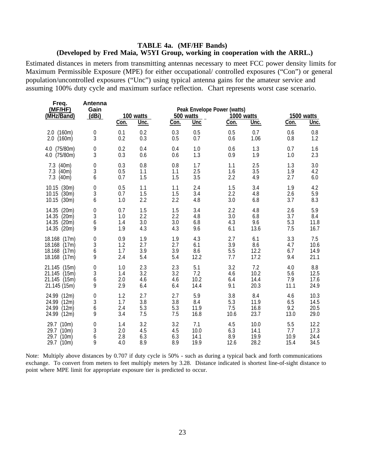#### **TABLE 4a. (MF/HF Bands) (Developed by Fred Maia, W5YI Group, working in cooperation with the ARRL.)**

Estimated distances in meters from transmitting antennas necessary to meet FCC power density limits for Maximum Permissible Exposure (MPE) for either occupational/ controlled exposures ("Con") or general population/uncontrolled exposures ("Unc") using typical antenna gains for the amateur service and assuming 100% duty cycle and maximum surface reflection. Chart represents worst case scenario.

| Freq.<br>(MF/HF)                                                         | Antenna<br>Gain          |                          |                          |                          |                             | <b>Peak Envelope Power (watts)</b> |                              |                            |                              |
|--------------------------------------------------------------------------|--------------------------|--------------------------|--------------------------|--------------------------|-----------------------------|------------------------------------|------------------------------|----------------------------|------------------------------|
| (MHz/Band)                                                               | (dBi)                    |                          | 100 watts                |                          | 500 watts                   | 1000 watts                         |                              | 1500 watts                 |                              |
|                                                                          |                          | Con.                     | Unc.                     | Con.                     | <b>Unc</b>                  | Con.                               | Unc.                         | Con.                       | Unc.                         |
| (160m)<br>2.0<br>(160m)<br>2.0                                           | 0<br>3                   | 0.1<br>0.2               | 0.2<br>0.3               | 0.3<br>0.5               | 0.5<br>0.7                  | 0.5<br>0.6                         | 0.7<br>1.06                  | 0.6<br>0.8                 | 0.8<br>1.2                   |
| (75/80m)<br>4.0<br>(75/80m)<br>4.0                                       | $\pmb{0}$<br>3           | 0.2<br>0.3               | 0.4<br>0.6               | 0.4<br>0.6               | 1.0<br>1.3                  | 0.6<br>0.9                         | 1.3<br>1.9                   | 0.7<br>1.0                 | 1.6<br>2.3                   |
| 7.3<br>(40m)<br>7.3<br>(40m)<br>7.3<br>(40m)                             | 0<br>3<br>6              | 0.3<br>0.5<br>0.7        | 0.8<br>1.1<br>1.5        | 0.8<br>1.1<br>1.5        | 1.7<br>2.5<br>3.5           | 1.1<br>1.6<br>2.2                  | 2.5<br>3.5<br>4.9            | 1.3<br>1.9<br>2.7          | 3.0<br>4.2<br>6.0            |
| (30m)<br>10.15<br>10.15<br>(30m)<br>10.15<br>(30m)                       | 0<br>3<br>6              | 0.5<br>0.7<br>1.0        | 1.1<br>1.5<br>2.2        | 1.1<br>1.5<br>2.2        | 2.4<br>3.4<br>4.8           | 1.5<br>2.2<br>3.0                  | 3.4<br>4.8<br>6.8            | 1.9<br>2.6<br>3.7          | 4.2<br>5.9<br>8.3            |
| 14.35<br>(20m)<br>14.35<br>(20m)<br>14.35<br>(20m)<br>14.35<br>(20m)     | 0<br>$\frac{3}{6}$<br>9  | 0.7<br>1.0<br>1.4<br>1.9 | 1.5<br>2.2<br>3.0<br>4.3 | 1.5<br>2.2<br>3.0<br>4.3 | 3.4<br>4.8<br>6.8<br>9.6    | 2.2<br>3.0<br>4.3<br>6.1           | 4.8<br>6.8<br>9.6<br>13.6    | 2.6<br>3.7<br>5.3<br>7.5   | 5.9<br>8.4<br>11.8<br>16.7   |
| 18.168<br>(17m)<br>18.168<br>(17m)<br>18.168<br>(17m)<br>18.168<br>(17m) | $\pmb{0}$<br>3<br>6<br>9 | 0.9<br>1.2<br>1.7<br>2.4 | 1.9<br>2.7<br>3.9<br>5.4 | 1.9<br>2.7<br>3.9<br>5.4 | 4.3<br>6.1<br>8.6<br>12.2   | 2.7<br>3.9<br>5.5<br>7.7           | 6.1<br>8.6<br>12.2<br>17.2   | 3.3<br>4.7<br>6.7<br>9.4   | 7.5<br>10.6<br>14.9<br>21.1  |
| (15m)<br>21.145<br>21.145<br>(15m)<br>21.145<br>(15m)<br>21.145 (15m)    | $\pmb{0}$<br>3<br>6<br>9 | 1.0<br>1.4<br>2.0<br>2.9 | 2.3<br>3.2<br>4.6<br>6.4 | 2.3<br>3.2<br>4.6<br>6.4 | 5.1<br>7.2<br>10.2<br>14.4  | 3.2<br>4.6<br>6.4<br>9.1           | 7.2<br>10.2<br>14.4<br>20.3  | 4.0<br>5.6<br>7.9<br>11.1  | 8.8<br>12.5<br>17.6<br>24.9  |
| 24.99<br>(12m)<br>24.99<br>(12m)<br>24.99<br>(12m)<br>24.99<br>(12m)     | 0<br>3<br>6<br>9         | 1.2<br>1.7<br>2.4<br>3.4 | 2.7<br>3.8<br>5.3<br>7.5 | 2.7<br>3.8<br>5.3<br>7.5 | 5.9<br>8.4<br>11.9<br>16.8  | 3.8<br>5.3<br>7.5<br>10.6          | 8.4<br>11.9<br>16.8<br>23.7  | 4.6<br>6.5<br>9.2<br>13.0  | 10.3<br>14.5<br>20.5<br>29.0 |
| 29.7<br>(10m)<br>29.7<br>(10m)<br>29.7<br>(10m)<br>29.7<br>(10m)         | 0<br>3<br>6<br>9         | 1.4<br>2.0<br>2.8<br>4.0 | 3.2<br>4.5<br>6.3<br>8.9 | 3.2<br>4.5<br>6.3<br>8.9 | 7.1<br>10.0<br>14.1<br>19.9 | 4.5<br>6.3<br>8.9<br>12.6          | 10.0<br>14.1<br>19.9<br>28.2 | 5.5<br>7.7<br>10.9<br>15.4 | 12.2<br>17.3<br>24.4<br>34.5 |

Note: Multiply above distances by 0.707 if duty cycle is 50% - such as during a typical back and forth communications exchange. To convert from meters to feet multiply meters by 3.28. Distance indicated is shortest line-of-sight distance to point where MPE limit for appropriate exposure tier is predicted to occur.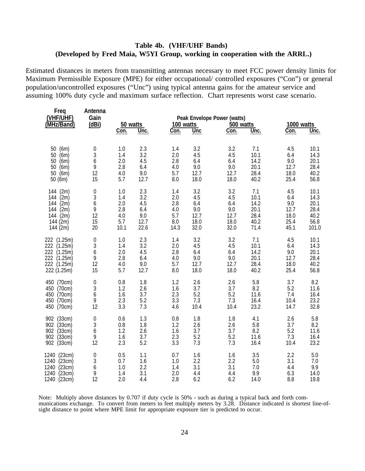#### **Table 4b. (VHF/UHF Bands) (Developed by Fred Maia, W5YI Group, working in cooperation with the ARRL.)**

Estimated distances in meters from transmitting antennas necessary to meet FCC power density limits for Maximum Permissible Exposure (MPE) for either occupational/ controlled exposures ("Con") or general population/uncontrolled exposures ("Unc") using typical antenna gains for the amateur service and assuming 100% duty cycle and maximum surface reflection. Chart represents worst case scenario.

| Freq<br>(VHF/UHF)<br>(MHz/Band)                                                                       | Antenna<br>Gain<br>(dBi)                     | 50 watts                                       |                                                 |                                                |                                                  | <b>Peak Envelope Power (watts)</b><br>500 watts  |                                                     | 1000 watts                                        |                                                       |
|-------------------------------------------------------------------------------------------------------|----------------------------------------------|------------------------------------------------|-------------------------------------------------|------------------------------------------------|--------------------------------------------------|--------------------------------------------------|-----------------------------------------------------|---------------------------------------------------|-------------------------------------------------------|
|                                                                                                       |                                              | Con.                                           | Unc.                                            | 100 watts<br>Con.                              | <b>Unc</b>                                       | Con.                                             | Unc.                                                | Con.                                              | Unc.                                                  |
| 50<br>(6m)<br>50<br>(6m)<br>50<br>(6m)<br>50<br>(6m)<br>50<br>(6m)<br>50 (6m)                         | 0<br>3<br>6<br>9<br>12<br>15                 | 1.0<br>1.4<br>2.0<br>2.8<br>4.0<br>5.7         | 2.3<br>3.2<br>4.5<br>6.4<br>9.0<br>12.7         | 1.4<br>2.0<br>2.8<br>4.0<br>5.7<br>8.0         | 3.2<br>4.5<br>6.4<br>9.0<br>12.7<br>18.0         | 3.2<br>4.5<br>6.4<br>9.0<br>12.7<br>18.0         | 7.1<br>10.1<br>14.2<br>20.1<br>28.4<br>40.2         | 4.5<br>6.4<br>9.0<br>12.7<br>18.0<br>25.4         | 10.1<br>14.3<br>20.1<br>28.4<br>40.2<br>56.8          |
| (2m)<br>144<br>144<br>(2m)<br>144<br>(2m)<br>(2m)<br>144<br>144<br>(2m)<br>144 (2m)<br>144 (2m)       | $\mathbf 0$<br>3<br>6<br>9<br>12<br>15<br>20 | 1.0<br>1.4<br>2.0<br>2.8<br>4.0<br>5.7<br>10.1 | 2.3<br>3.2<br>4.5<br>6.4<br>9.0<br>12.7<br>22.6 | 1.4<br>2.0<br>2.8<br>4.0<br>5.7<br>8.0<br>14.3 | 3.2<br>4.5<br>6.4<br>9.0<br>12.7<br>18.0<br>32.0 | 3.2<br>4.5<br>6.4<br>9.0<br>12.7<br>18.0<br>32.0 | 7.1<br>10.1<br>14.2<br>20.1<br>28.4<br>40.2<br>71.4 | 4.5<br>6.4<br>9.0<br>12.7<br>18.0<br>25.4<br>45.1 | 10.1<br>14.3<br>20.1<br>28.4<br>40.2<br>56.8<br>101.0 |
| (1.25m)<br>222<br>222<br>(1.25m)<br>222<br>(1.25m)<br>222<br>(1.25m)<br>222<br>(1.25m)<br>222 (1.25m) | $\pmb{0}$<br>3<br>6<br>9<br>12<br>15         | 1.0<br>1.4<br>2.0<br>2.8<br>4.0<br>5.7         | 2.3<br>3.2<br>4.5<br>6.4<br>9.0<br>12.7         | 1.4<br>2.0<br>2.8<br>4.0<br>5.7<br>8.0         | 3.2<br>4.5<br>6.4<br>9.0<br>12.7<br>18.0         | 3.2<br>4.5<br>6.4<br>9.0<br>12.7<br>18.0         | 7.1<br>10.1<br>14.2<br>20.1<br>28.4<br>40.2         | 4.5<br>6.4<br>9.0<br>12.7<br>18.0<br>25.4         | 10.1<br>14.3<br>20.1<br>28.4<br>40.2<br>56.8          |
| (70cm)<br>450<br>450<br>(70cm)<br>450<br>(70cm)<br>450<br>(70cm)<br>(70cm)<br>450                     | $\pmb{0}$<br>3<br>6<br>9<br>12               | 0.8<br>1.2<br>1.6<br>2.3<br>3.3                | 1.8<br>2.6<br>3.7<br>5.2<br>7.3                 | 1.2<br>1.6<br>2.3<br>3.3<br>4.6                | 2.6<br>3.7<br>5.2<br>7.3<br>10.4                 | 2.6<br>3.7<br>5.2<br>7.3<br>10.4                 | 5.8<br>8.2<br>11.6<br>16.4<br>23.2                  | 3.7<br>5.2<br>7.4<br>10.4<br>14.7                 | 8.2<br>11.6<br>16.4<br>23.2<br>32.8                   |
| 902<br>(33cm)<br>902<br>(33cm)<br>902<br>(33cm)<br>902<br>(33cm)<br>902<br>(33cm)                     | $\pmb{0}$<br>3<br>6<br>9<br>12               | 0.6<br>0.8<br>1.2<br>1.6<br>2.3                | 1.3<br>1.8<br>2.6<br>3.7<br>5.2                 | 0.8<br>1.2<br>1.6<br>2.3<br>3.3                | 1.8<br>2.6<br>3.7<br>5.2<br>7.3                  | 1.8<br>2.6<br>3.7<br>5.2<br>7.3                  | 4.1<br>5.8<br>8.2<br>11.6<br>16.4                   | 2.6<br>3.7<br>5.2<br>7.3<br>10.4                  | 5.8<br>8.2<br>11.6<br>16.4<br>23.2                    |
| 1240<br>(23cm)<br>1240<br>(23cm)<br>1240<br>(23cm)<br>1240<br>(23cm)<br>(23cm)<br>1240                | 0<br>3<br>6<br>9<br>12                       | 0.5<br>0.7<br>1.0<br>1.4<br>2.0                | 1.1<br>1.6<br>2.2<br>3.1<br>4.4                 | 0.7<br>1.0<br>1.4<br>2.0<br>2.8                | 1.6<br>2.2<br>3.1<br>4.4<br>6.2                  | 1.6<br>2.2<br>3.1<br>4.4<br>6.2                  | 3.5<br>5.0<br>7.0<br>9.9<br>14.0                    | 2.2<br>3.1<br>4.4<br>6.3<br>8.8                   | 5.0<br>7.0<br>9.9<br>14.0<br>19.8                     |

Note: Multiply above distances by 0.707 if duty cycle is 50% - such as during a typical back and forth communications exchange. To convert from meters to feet multiply meters by 3.28. Distance indicated is shortest line-ofsight distance to point where MPE limit for appropriate exposure tier is predicted to occur.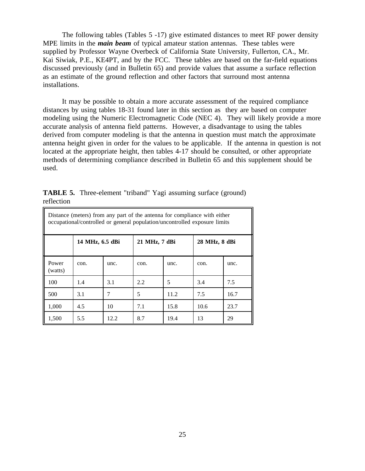The following tables (Tables 5 -17) give estimated distances to meet RF power density MPE limits in the *main beam* of typical amateur station antennas. These tables were supplied by Professor Wayne Overbeck of California State University, Fullerton, CA., Mr. Kai Siwiak, P.E., KE4PT, and by the FCC. These tables are based on the far-field equations discussed previously (and in Bulletin 65) and provide values that assume a surface reflection as an estimate of the ground reflection and other factors that surround most antenna installations.

It may be possible to obtain a more accurate assessment of the required compliance distances by using tables 18-31 found later in this section as they are based on computer modeling using the Numeric Electromagnetic Code (NEC 4). They will likely provide a more accurate analysis of antenna field patterns. However, a disadvantage to using the tables derived from computer modeling is that the antenna in question must match the approximate antenna height given in order for the values to be applicable. If the antenna in question is not located at the appropriate height, then tables 4-17 should be consulted, or other appropriate methods of determining compliance described in Bulletin 65 and this supplement should be used.

| Distance (meters) from any part of the antenna for compliance with either<br>occupational/controlled or general population/uncontrolled exposure limits |                 |       |               |      |               |      |  |  |
|---------------------------------------------------------------------------------------------------------------------------------------------------------|-----------------|-------|---------------|------|---------------|------|--|--|
|                                                                                                                                                         | 14 MHz, 6.5 dBi |       | 21 MHz, 7 dBi |      | 28 MHz, 8 dBi |      |  |  |
| Power<br>(watts)                                                                                                                                        | con.            | unc.  | con.          | unc. | con.          | unc. |  |  |
| 100                                                                                                                                                     | 1.4             | 3.1   | 2.2.          | 5    | 3.4           | 7.5  |  |  |
| 500                                                                                                                                                     | 3.1             | 7     | 5             | 11.2 | 7.5           | 16.7 |  |  |
| 1,000                                                                                                                                                   | 4.5             | 10    | 7.1           | 15.8 | 10.6          | 23.7 |  |  |
| 1,500                                                                                                                                                   | 5.5             | 12.2. | 8.7           | 19.4 | 13            | 29   |  |  |

**TABLE 5.** Three-element "triband" Yagi assuming surface (ground) reflection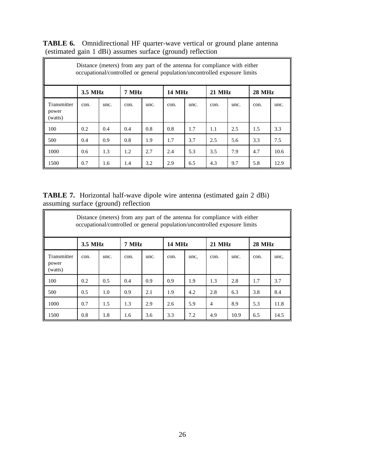| Distance (meters) from any part of the antenna for compliance with either<br>occupational/controlled or general population/uncontrolled exposure limits |         |      |       |      |               |      |          |      |               |      |
|---------------------------------------------------------------------------------------------------------------------------------------------------------|---------|------|-------|------|---------------|------|----------|------|---------------|------|
|                                                                                                                                                         | 3.5 MHz |      | 7 MHz |      | <b>14 MHz</b> |      | $21$ MHz |      | <b>28 MHz</b> |      |
| Transmitter<br>power<br>(watts)                                                                                                                         | con.    | unc. | con.  | unc. | con.          | unc. | con.     | unc. | con.          | unc. |
| 100                                                                                                                                                     | 0.2     | 0.4  | 0.4   | 0.8  | 0.8           | 1.7  | 1.1      | 2.5  | 1.5           | 3.3  |
| 500                                                                                                                                                     | 0.4     | 0.9  | 0.8   | 1.9  | 1.7           | 3.7  | 2.5      | 5.6  | 3.3           | 7.5  |
| 1000                                                                                                                                                    | 0.6     | 1.3  | 1.2   | 2.7  | 2.4           | 5.3  | 3.5      | 7.9  | 4.7           | 10.6 |
| 1500                                                                                                                                                    | 0.7     | 1.6  | 1.4   | 3.2  | 2.9           | 6.5  | 4.3      | 9.7  | 5.8           | 12.9 |

| <b>TABLE 6.</b> Omnidirectional HF quarter-wave vertical or ground plane antenna |
|----------------------------------------------------------------------------------|
| (estimated gain 1 dBi) assumes surface (ground) reflection                       |

**TABLE 7.** Horizontal half-wave dipole wire antenna (estimated gain 2 dBi) assuming surface (ground) reflection

| Distance (meters) from any part of the antenna for compliance with either<br>occupational/controlled or general population/uncontrolled exposure limits |         |      |       |      |               |      |                |      |               |      |
|---------------------------------------------------------------------------------------------------------------------------------------------------------|---------|------|-------|------|---------------|------|----------------|------|---------------|------|
|                                                                                                                                                         | 3.5 MHz |      | 7 MHz |      | <b>14 MHz</b> |      | $21$ MHz       |      | <b>28 MHz</b> |      |
| Transmitter<br>power<br>(watts)                                                                                                                         | con.    | unc. | con.  | unc. | con.          | unc, | con.           | unc. | con.          | unc, |
| 100                                                                                                                                                     | 0.2     | 0.5  | 0.4   | 0.9  | 0.9           | 1.9  | 1.3            | 2.8  | 1.7           | 3.7  |
| 500                                                                                                                                                     | 0.5     | 1.0  | 0.9   | 2.1  | 1.9           | 4.2  | 2.8            | 6.3  | 3.8           | 8.4  |
| 1000                                                                                                                                                    | 0.7     | 1.5  | 1.3   | 2.9  | 2.6           | 5.9  | $\overline{4}$ | 8.9  | 5.3           | 11.8 |
| 1500                                                                                                                                                    | 0.8     | 1.8  | 1.6   | 3.6  | 3.3           | 7.2  | 4.9            | 10.9 | 6.5           | 14.5 |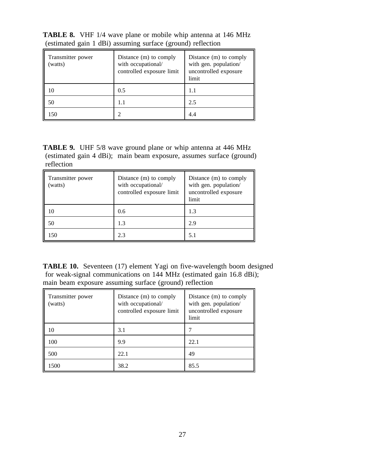| Transmitter power<br>(watts) | Distance (m) to comply<br>with occupational/<br>controlled exposure limit | Distance (m) to comply<br>with gen. population/<br>uncontrolled exposure<br>limit |
|------------------------------|---------------------------------------------------------------------------|-----------------------------------------------------------------------------------|
| 10                           | 0.5                                                                       | 1.1                                                                               |
| 50                           | 1.1                                                                       | 2.5                                                                               |
| 150                          |                                                                           | 4.4                                                                               |

**TABLE 8.** VHF 1/4 wave plane or mobile whip antenna at 146 MHz (estimated gain 1 dBi) assuming surface (ground) reflection

**TABLE 9.** UHF 5/8 wave ground plane or whip antenna at 446 MHz (estimated gain 4 dBi); main beam exposure, assumes surface (ground) reflection

| Transmitter power<br>(watts) | Distance (m) to comply<br>with occupational/<br>controlled exposure limit | Distance (m) to comply<br>with gen. population/<br>uncontrolled exposure<br>limit |
|------------------------------|---------------------------------------------------------------------------|-----------------------------------------------------------------------------------|
|                              | 0.6                                                                       | 1.3                                                                               |
| 50                           | 1.3                                                                       | 2.9                                                                               |
| 50                           | 23                                                                        | 5.1                                                                               |

**TABLE 10.** Seventeen (17) element Yagi on five-wavelength boom designed for weak-signal communications on 144 MHz (estimated gain 16.8 dBi); main beam exposure assuming surface (ground) reflection

| Transmitter power<br>(watts) | Distance (m) to comply<br>with occupational/<br>controlled exposure limit | Distance (m) to comply<br>with gen. population/<br>uncontrolled exposure<br>limit |
|------------------------------|---------------------------------------------------------------------------|-----------------------------------------------------------------------------------|
|                              | 3.1                                                                       |                                                                                   |
| 100                          | 9.9                                                                       | 22.1                                                                              |
| 500                          | 22.1                                                                      | 49                                                                                |
| 1500                         | 38.2                                                                      | 85.5                                                                              |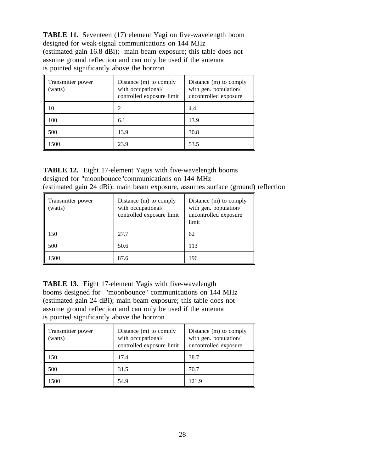**TABLE 11.** Seventeen (17) element Yagi on five-wavelength boom designed for weak-signal communications on 144 MHz (estimated gain 16.8 dBi); main beam exposure; this table does not assume ground reflection and can only be used if the antenna is pointed significantly above the horizon

| Transmitter power<br>(watts) | Distance (m) to comply<br>with occupational/<br>controlled exposure limit | Distance (m) to comply<br>with gen. population/<br>uncontrolled exposure |
|------------------------------|---------------------------------------------------------------------------|--------------------------------------------------------------------------|
| 10                           |                                                                           | 4.4                                                                      |
| 100                          | 6.1                                                                       | 13.9                                                                     |
| 500                          | 13.9                                                                      | 30.8                                                                     |
| 1500                         | 23.9                                                                      | 53.5                                                                     |

**TABLE 12.** Eight 17-element Yagis with five-wavelength booms designed for "moonbounce"communications on 144 MHz (estimated gain 24 dBi); main beam exposure, assumes surface (ground) reflection

| Transmitter power<br>(watts) | Distance (m) to comply<br>with occupational/<br>controlled exposure limit | Distance (m) to comply<br>with gen. population/<br>uncontrolled exposure<br>limit |
|------------------------------|---------------------------------------------------------------------------|-----------------------------------------------------------------------------------|
| 150                          | 27.7                                                                      | 62                                                                                |
| 500                          | 50.6                                                                      | 113                                                                               |
| .500                         | 87.6                                                                      | 196                                                                               |

**TABLE 13.** Eight 17-element Yagis with five-wavelength booms designed for "moonbounce" communications on 144 MHz (estimated gain 24 dBi); main beam exposure; this table does not assume ground reflection and can only be used if the antenna is pointed significantly above the horizon

| Transmitter power<br>(watts) | Distance (m) to comply<br>with occupational/<br>controlled exposure limit | Distance (m) to comply<br>with gen. population/<br>uncontrolled exposure |
|------------------------------|---------------------------------------------------------------------------|--------------------------------------------------------------------------|
| 150                          | 17.4                                                                      | 38.7                                                                     |
| 500                          | 31.5                                                                      | 70.7                                                                     |
| 1500                         | 54.9                                                                      | 121.9                                                                    |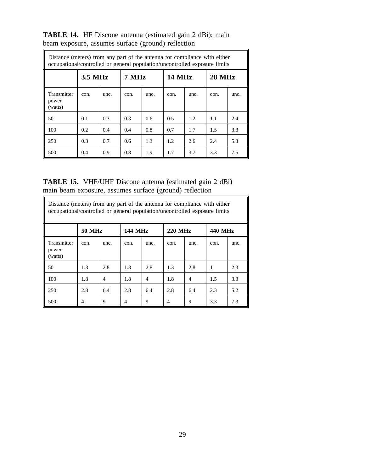| Distance (meters) from any part of the antenna for compliance with either<br>occupational/controlled or general population/uncontrolled exposure limits |      |                  |      |      |               |      |               |      |  |  |  |
|---------------------------------------------------------------------------------------------------------------------------------------------------------|------|------------------|------|------|---------------|------|---------------|------|--|--|--|
|                                                                                                                                                         |      | 7 MHz<br>3.5 MHz |      |      | <b>14 MHz</b> |      | <b>28 MHz</b> |      |  |  |  |
| Transmitter<br>power<br>(watts)                                                                                                                         | con. | unc.             | con. | unc. | con.          | unc. | con.          | unc. |  |  |  |
| 50                                                                                                                                                      | 0.1  | 0.3              | 0.3  | 0.6  | 0.5           | 1.2  | 1.1           | 2.4  |  |  |  |
| 100                                                                                                                                                     | 0.2  | 0.4              | 0.4  | 0.8  | 0.7           | 1.7  | 1.5           | 3.3  |  |  |  |
| 250                                                                                                                                                     | 0.3  | 0.7              | 0.6  | 1.3  | 1.2           | 2.6  | 2.4           | 5.3  |  |  |  |
| 500                                                                                                                                                     | 0.4  | 0.9              | 0.8  | 1.9  | 1.7           | 3.7  | 3.3           | 7.5  |  |  |  |

**TABLE 14.** HF Discone antenna (estimated gain 2 dBi); main beam exposure, assumes surface (ground) reflection

**TABLE 15.** VHF/UHF Discone antenna (estimated gain 2 dBi) main beam exposure, assumes surface (ground) reflection

| Distance (meters) from any part of the antenna for compliance with either<br>occupational/controlled or general population/uncontrolled exposure limits |      |      |      |      |      |      |      |      |  |  |  |
|---------------------------------------------------------------------------------------------------------------------------------------------------------|------|------|------|------|------|------|------|------|--|--|--|
| <b>50 MHz</b><br><b>220 MHz</b><br><b>144 MHz</b><br>440 MHz                                                                                            |      |      |      |      |      |      |      |      |  |  |  |
| Transmitter<br>power<br>(watts)                                                                                                                         | con. | unc. | con. | unc. | con. | unc. | con. | unc. |  |  |  |
| 50                                                                                                                                                      | 1.3  | 2.8  | 1.3  | 2.8  | 1.3  | 2.8  | 1    | 2.3  |  |  |  |
| 100                                                                                                                                                     | 1.8  | 4    | 1.8  | 4    | 1.8  | 4    | 1.5  | 3.3  |  |  |  |
| 250                                                                                                                                                     | 2.8  | 6.4  | 2.8  | 6.4  | 2.8  | 6.4  | 2.3  | 5.2  |  |  |  |
| 500                                                                                                                                                     | 4    | 9    | 4    | 9    | 4    | 9    | 3.3  | 7.3  |  |  |  |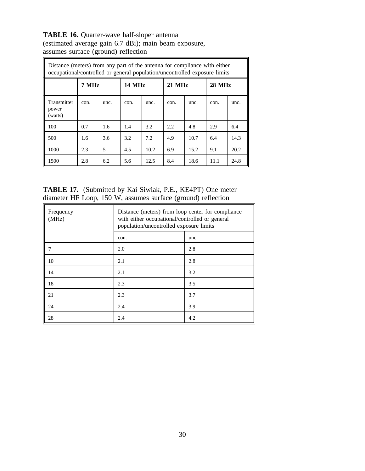#### **TABLE 16.** Quarter-wave half-sloper antenna (estimated average gain 6.7 dBi); main beam exposure, assumes surface (ground) reflection

| Distance (meters) from any part of the antenna for compliance with either<br>occupational/controlled or general population/uncontrolled exposure limits |       |      |               |      |          |      |               |      |  |  |  |  |
|---------------------------------------------------------------------------------------------------------------------------------------------------------|-------|------|---------------|------|----------|------|---------------|------|--|--|--|--|
|                                                                                                                                                         | 7 MHz |      | <b>14 MHz</b> |      | $21$ MHz |      | <b>28 MHz</b> |      |  |  |  |  |
| Transmitter<br>power<br>(watts)                                                                                                                         | con.  | unc. | con.          | unc. | con.     | unc. | con.          | unc. |  |  |  |  |
| 100                                                                                                                                                     | 0.7   | 1.6  | 1.4           | 3.2  | 2.2      | 4.8  | 2.9           | 6.4  |  |  |  |  |
| 500                                                                                                                                                     | 1.6   | 3.6  | 3.2           | 7.2  | 4.9      | 10.7 | 6.4           | 14.3 |  |  |  |  |
| 1000                                                                                                                                                    | 2.3   | 5    | 4.5           | 10.2 | 6.9      | 15.2 | 9.1           | 20.2 |  |  |  |  |
| 1500                                                                                                                                                    | 2.8   | 6.2  | 5.6           | 12.5 | 8.4      | 18.6 | 11.1          | 24.8 |  |  |  |  |

**TABLE 17.** (Submitted by Kai Siwiak, P.E., KE4PT) One meter diameter HF Loop, 150 W, assumes surface (ground) reflection

| Frequency<br>(MHz) | Distance (meters) from loop center for compliance<br>with either occupational/controlled or general<br>population/uncontrolled exposure limits |      |  |  |
|--------------------|------------------------------------------------------------------------------------------------------------------------------------------------|------|--|--|
|                    | con.                                                                                                                                           | unc. |  |  |
|                    | 2.0                                                                                                                                            | 2.8  |  |  |
| 10                 | 2.1                                                                                                                                            | 2.8  |  |  |
| 14                 | 2.1                                                                                                                                            | 3.2  |  |  |
| 18                 | 2.3                                                                                                                                            | 3.5  |  |  |
| 21                 | 2.3                                                                                                                                            | 3.7  |  |  |
| 24                 | 2.4                                                                                                                                            | 3.9  |  |  |
| 28                 | 2.4                                                                                                                                            | 4.2  |  |  |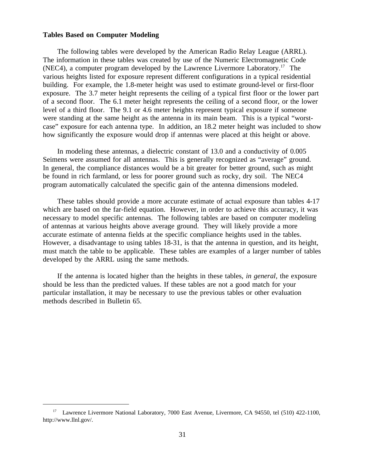#### **Tables Based on Computer Modeling**

The following tables were developed by the American Radio Relay League (ARRL). The information in these tables was created by use of the Numeric Electromagnetic Code (NEC4), a computer program developed by the Lawrence Livermore Laboratory.<sup>17</sup> The various heights listed for exposure represent different configurations in a typical residential building. For example, the 1.8-meter height was used to estimate ground-level or first-floor exposure. The 3.7 meter height represents the ceiling of a typical first floor or the lower part of a second floor. The 6.1 meter height represents the ceiling of a second floor, or the lower level of a third floor. The 9.1 or 4.6 meter heights represent typical exposure if someone were standing at the same height as the antenna in its main beam. This is a typical "worstcase" exposure for each antenna type. In addition, an 18.2 meter height was included to show how significantly the exposure would drop if antennas were placed at this height or above.

In modeling these antennas, a dielectric constant of 13.0 and a conductivity of 0.005 Seimens were assumed for all antennas. This is generally recognized as "average" ground. In general, the compliance distances would be a bit greater for better ground, such as might be found in rich farmland, or less for poorer ground such as rocky, dry soil. The NEC4 program automatically calculated the specific gain of the antenna dimensions modeled.

These tables should provide a more accurate estimate of actual exposure than tables 4-17 which are based on the far-field equation. However, in order to achieve this accuracy, it was necessary to model specific antennas. The following tables are based on computer modeling of antennas at various heights above average ground. They will likely provide a more accurate estimate of antenna fields at the specific compliance heights used in the tables. However, a disadvantage to using tables 18-31, is that the antenna in question, and its height, must match the table to be applicable. These tables are examples of a larger number of tables developed by the ARRL using the same methods.

If the antenna is located higher than the heights in these tables, *in general,* the exposure should be less than the predicted values. If these tables are not a good match for your particular installation, it may be necessary to use the previous tables or other evaluation methods described in Bulletin 65.

<sup>&</sup>lt;sup>17</sup> Lawrence Livermore National Laboratory, 7000 East Avenue, Livermore, CA 94550, tel (510) 422-1100, http://www.llnl.gov/.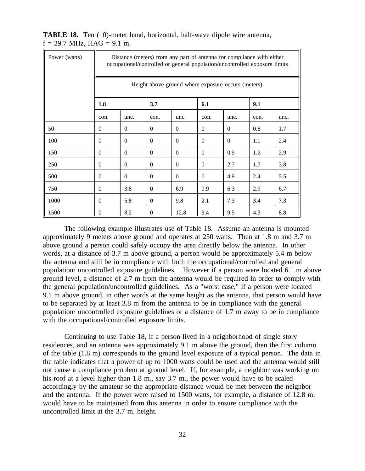|                              | <b>TABLE 18.</b> Ten (10)-meter band, horizontal, half-wave dipole wire antenna, |  |  |
|------------------------------|----------------------------------------------------------------------------------|--|--|
| $f = 29.7$ MHz, HAG = 9.1 m. |                                                                                  |  |  |

| Power (watts) |              | Distance (meters) from any part of antenna for compliance with either<br>occupational/controlled or general population/uncontrolled exposure limits |                  |                |              |          |      |      |  |  |
|---------------|--------------|-----------------------------------------------------------------------------------------------------------------------------------------------------|------------------|----------------|--------------|----------|------|------|--|--|
|               |              | Height above ground where exposure occurs (meters)                                                                                                  |                  |                |              |          |      |      |  |  |
|               | 1.8          |                                                                                                                                                     | 3.7              |                | 6.1          |          | 9.1  |      |  |  |
|               | con.         | unc.                                                                                                                                                | con.             | unc.           | con.         | unc.     | con. | unc. |  |  |
| 50            | $\Omega$     | $\Omega$                                                                                                                                            | $\Omega$         | $\Omega$       | $\Omega$     | $\Omega$ | 0.8  | 1.7  |  |  |
| 100           | $\Omega$     | $\Omega$                                                                                                                                            | $\Omega$         | $\mathbf{0}$   | $\Omega$     | $\theta$ | 1.1  | 2.4  |  |  |
| 150           | $\theta$     | $\overline{0}$                                                                                                                                      | $\mathbf{0}$     | $\mathbf{0}$   | $\mathbf{0}$ | 0.9      | 1.2  | 2.9  |  |  |
| 250           | $\Omega$     | $\Omega$                                                                                                                                            | $\mathbf{0}$     | $\mathbf{0}$   | $\Omega$     | 2.7      | 1.7  | 3.8  |  |  |
| 500           | $\Omega$     | $\Omega$                                                                                                                                            | $\boldsymbol{0}$ | $\overline{0}$ | $\Omega$     | 4.9      | 2.4  | 5.5  |  |  |
| 750           | $\mathbf{0}$ | 3.8                                                                                                                                                 | $\mathbf{0}$     | 6.9            | 0.9          | 6.3      | 2.9  | 6.7  |  |  |
| 1000          | $\Omega$     | 5.8                                                                                                                                                 | $\Omega$         | 9.8            | 2.1          | 7.3      | 3.4  | 7.3  |  |  |
| 1500          | $\theta$     | 8.2                                                                                                                                                 | $\mathbf{0}$     | 12.8           | 3.4          | 9.5      | 4.3  | 8.8  |  |  |

The following example illustrates use of Table 18. Assume an antenna is mounted approximately 9 meters above ground and operates at 250 watts. Then at 1.8 m and 3.7 m above ground a person could safely occupy the area directly below the antenna. In other words, at a distance of 3.7 m above ground, a person would be approximately 5.4 m below the antenna and still be in compliance with both the occupational/controlled and general population/ uncontrolled exposure guidelines. However if a person were located 6.1 m above ground level, a distance of 2.7 m from the antenna would be required in order to comply with the general population/uncontrolled guidelines. As a "worst case," if a person were located 9.1 m above ground, in other words at the same height as the antenna, that person would have to be separated by at least 3.8 m from the antenna to be in compliance with the general population/ uncontrolled exposure guidelines or a distance of 1.7 m away to be in compliance with the occupational/controlled exposure limits.

Continuing to use Table 18, if a person lived in a neighborhood of single story residences, and an antenna was approximately 9.1 m above the ground, then the first column of the table (1.8 m) corresponds to the ground level exposure of a typical person. The data in the table indicates that a power of up to 1000 watts could be used and the antenna would still not cause a compliance problem at ground level. If, for example, a neighbor was working on his roof at a level higher than 1.8 m., say 3.7 m., the power would have to be scaled accordingly by the amateur so the appropriate distance would be met between the neighbor and the antenna. If the power were raised to 1500 watts, for example, a distance of 12.8 m. would have to be maintained from this antenna in order to ensure compliance with the uncontrolled limit at the 3.7 m. height.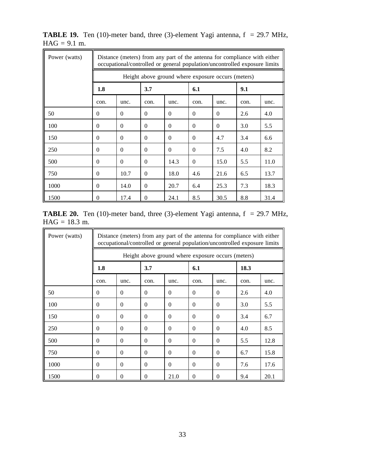| Power (watts) |              | Distance (meters) from any part of the antenna for compliance with either<br>occupational/controlled or general population/uncontrolled exposure limits |              |          |          |                                                    |      |      |  |  |
|---------------|--------------|---------------------------------------------------------------------------------------------------------------------------------------------------------|--------------|----------|----------|----------------------------------------------------|------|------|--|--|
|               |              |                                                                                                                                                         |              |          |          | Height above ground where exposure occurs (meters) |      |      |  |  |
|               | 1.8          |                                                                                                                                                         | 3.7          |          | 6.1      |                                                    | 9.1  |      |  |  |
|               | con.         | unc.                                                                                                                                                    | con.         | unc.     | con.     | unc.                                               | con. | unc. |  |  |
| 50            | $\Omega$     | $\Omega$                                                                                                                                                | $\Omega$     | $\Omega$ | $\Omega$ | $\Omega$                                           | 2.6  | 4.0  |  |  |
| 100           | $\Omega$     | $\Omega$                                                                                                                                                | $\Omega$     | $\Omega$ | $\Omega$ | $\Omega$                                           | 3.0  | 5.5  |  |  |
| 150           | $\Omega$     | $\Omega$                                                                                                                                                | $\Omega$     | $\Omega$ | $\Omega$ | 4.7                                                | 3.4  | 6.6  |  |  |
| 250           | $\mathbf{0}$ | $\Omega$                                                                                                                                                | $\mathbf{0}$ | $\Omega$ | $\Omega$ | 7.5                                                | 4.0  | 8.2  |  |  |
| 500           | $\Omega$     | $\Omega$                                                                                                                                                | $\Omega$     | 14.3     | $\Omega$ | 15.0                                               | 5.5  | 11.0 |  |  |
| 750           | $\Omega$     | 10.7                                                                                                                                                    | $\Omega$     | 18.0     | 4.6      | 21.6                                               | 6.5  | 13.7 |  |  |
| 1000          | $\Omega$     | 14.0                                                                                                                                                    | $\Omega$     | 20.7     | 6.4      | 25.3                                               | 7.3  | 18.3 |  |  |
| 1500          | 0            | 17.4                                                                                                                                                    | $\Omega$     | 24.1     | 8.5      | 30.5                                               | 8.8  | 31.4 |  |  |

**TABLE 19.** Ten (10)-meter band, three (3)-element Yagi antenna,  $f = 29.7$  MHz,  $HAG = 9.1$  m.

**TABLE 20.** Ten (10)-meter band, three (3)-element Yagi antenna,  $f = 29.7$  MHz,  $HAG = 18.3$  m.

| Power (watts) |          | Distance (meters) from any part of the antenna for compliance with either<br>occupational/controlled or general population/uncontrolled exposure limits |          |          |                                                    |          |      |      |
|---------------|----------|---------------------------------------------------------------------------------------------------------------------------------------------------------|----------|----------|----------------------------------------------------|----------|------|------|
|               |          |                                                                                                                                                         |          |          | Height above ground where exposure occurs (meters) |          |      |      |
|               | 1.8      |                                                                                                                                                         | 3.7      |          | 6.1                                                |          | 18.3 |      |
|               | con.     | unc.                                                                                                                                                    | con.     | unc.     | con.                                               | unc.     | con. | unc. |
| 50            | $\Omega$ | $\Omega$                                                                                                                                                | $\Omega$ | $\Omega$ | $\Omega$                                           | $\Omega$ | 2.6  | 4.0  |
| 100           | $\Omega$ | $\Omega$                                                                                                                                                | $\Omega$ | $\Omega$ | $\Omega$                                           | $\Omega$ | 3.0  | 5.5  |
| 150           | $\Omega$ | $\Omega$                                                                                                                                                | $\Omega$ | $\Omega$ | $\Omega$                                           | $\Omega$ | 3.4  | 6.7  |
| 250           | $\Omega$ | $\Omega$                                                                                                                                                | $\Omega$ | $\Omega$ | $\Omega$                                           | $\Omega$ | 4.0  | 8.5  |
| 500           | $\Omega$ | $\Omega$                                                                                                                                                | $\Omega$ | $\Omega$ | $\Omega$                                           | $\Omega$ | 5.5  | 12.8 |
| 750           | $\Omega$ | $\Omega$                                                                                                                                                | $\Omega$ | $\Omega$ | $\Omega$                                           | $\Omega$ | 6.7  | 15.8 |
| 1000          | $\Omega$ | $\Omega$                                                                                                                                                | $\Omega$ | $\Omega$ | $\Omega$                                           | $\Omega$ | 7.6  | 17.6 |
| 1500          | $\Omega$ | $\theta$                                                                                                                                                | $\Omega$ | 21.0     | $\theta$                                           | $\Omega$ | 9.4  | 20.1 |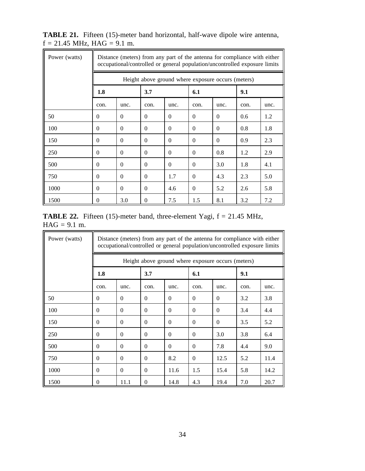| <b>TABLE 21.</b> Fifteen (15)-meter band horizontal, half-wave dipole wire antenna, |  |  |  |
|-------------------------------------------------------------------------------------|--|--|--|
| $f = 21.45$ MHz, HAG = 9.1 m.                                                       |  |  |  |

| Power (watts) |          | Distance (meters) from any part of the antenna for compliance with either<br>occupational/controlled or general population/uncontrolled exposure limits |          |          |          |                |      |      |  |
|---------------|----------|---------------------------------------------------------------------------------------------------------------------------------------------------------|----------|----------|----------|----------------|------|------|--|
|               |          | Height above ground where exposure occurs (meters)                                                                                                      |          |          |          |                |      |      |  |
|               | 1.8      |                                                                                                                                                         | 3.7      |          | 6.1      | 9.1            |      |      |  |
|               | con.     | unc.                                                                                                                                                    | con.     | unc.     | con.     | unc.           | con. | unc. |  |
| 50            | $\Omega$ | $\Omega$                                                                                                                                                | $\Omega$ | $\Omega$ | $\Omega$ | $\overline{0}$ | 0.6  | 1.2  |  |
| 100           | $\Omega$ | $\Omega$                                                                                                                                                | $\Omega$ | $\Omega$ | $\Omega$ | $\Omega$       | 0.8  | 1.8  |  |
| 150           | $\Omega$ | $\Omega$                                                                                                                                                | $\Omega$ | $\Omega$ | $\Omega$ | $\Omega$       | 0.9  | 2.3  |  |
| 250           | $\Omega$ | $\Omega$                                                                                                                                                | $\Omega$ | $\Omega$ | $\Omega$ | 0.8            | 1.2  | 2.9  |  |
| 500           | $\theta$ | $\Omega$                                                                                                                                                | $\Omega$ | $\Omega$ | $\Omega$ | 3.0            | 1.8  | 4.1  |  |
| 750           | $\Omega$ | $\Omega$                                                                                                                                                | $\Omega$ | 1.7      | $\Omega$ | 4.3            | 2.3  | 5.0  |  |
| 1000          | $\Omega$ | $\Omega$                                                                                                                                                | $\Omega$ | 4.6      | $\Omega$ | 5.2            | 2.6  | 5.8  |  |
| 1500          | 0        | 3.0                                                                                                                                                     | $\theta$ | 7.5      | 1.5      | 8.1            | 3.2  | 7.2  |  |

**TABLE 22.** Fifteen (15)-meter band, three-element Yagi,  $f = 21.45$  MHz,  $HAG = 9.1$  m.

| Power (watts) |          | Distance (meters) from any part of the antenna for compliance with either<br>occupational/controlled or general population/uncontrolled exposure limits |          |          |          |          |      |      |  |  |
|---------------|----------|---------------------------------------------------------------------------------------------------------------------------------------------------------|----------|----------|----------|----------|------|------|--|--|
|               |          | Height above ground where exposure occurs (meters)                                                                                                      |          |          |          |          |      |      |  |  |
|               | 1.8      |                                                                                                                                                         |          |          | 6.1      | 9.1      |      |      |  |  |
|               | con.     | unc.                                                                                                                                                    | con.     | unc.     | con.     | unc.     | con. | unc. |  |  |
| 50            | $\Omega$ | $\Omega$                                                                                                                                                | $\Omega$ | $\Omega$ | $\Omega$ | $\Omega$ | 3.2  | 3.8  |  |  |
| 100           | $\theta$ | $\Omega$                                                                                                                                                | $\Omega$ | $\Omega$ | $\Omega$ | $\Omega$ | 3.4  | 4.4  |  |  |
| 150           | $\Omega$ | $\Omega$                                                                                                                                                | $\Omega$ | $\Omega$ | $\Omega$ | $\Omega$ | 3.5  | 5.2  |  |  |
| 250           | $\Omega$ | $\Omega$                                                                                                                                                | $\Omega$ | $\Omega$ | $\Omega$ | 3.0      | 3.8  | 6.4  |  |  |
| 500           | $\Omega$ | $\Omega$                                                                                                                                                | $\Omega$ | $\Omega$ | $\Omega$ | 7.8      | 4.4  | 9.0  |  |  |
| 750           | $\Omega$ | $\Omega$                                                                                                                                                | $\Omega$ | 8.2      | $\Omega$ | 12.5     | 5.2  | 11.4 |  |  |
| 1000          | $\Omega$ | $\Omega$                                                                                                                                                | $\Omega$ | 11.6     | 1.5      | 15.4     | 5.8  | 14.2 |  |  |
| 1500          | $\Omega$ | 11.1                                                                                                                                                    | $\Omega$ | 14.8     | 4.3      | 19.4     | 7.0  | 20.7 |  |  |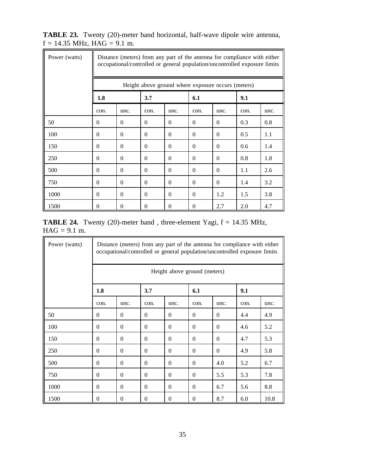| $f = 14.35$ MHz, HAG = 9.1 m. | <b>TABLE 25.</b> I wenty (20)-meter band horizontal, half-wave dipole wire antenna,                                                                                             |
|-------------------------------|---------------------------------------------------------------------------------------------------------------------------------------------------------------------------------|
| Power (watts)                 | $\parallel$ Distance (meters) from any part of the antenna for compliance with either $\parallel$<br>occupational/controlled or general population/uncontrolled exposure limits |

| <b>TABLE 23.</b> Twenty (20)-meter band horizontal, half-wave dipole wire antenna, |  |  |  |
|------------------------------------------------------------------------------------|--|--|--|
| $f = 14.35$ MHz, HAG = 9.1 m.                                                      |  |  |  |

|      |                  | occupational/controlled or general population/uncontrolled exposure limits |                  |                  |                  |              |      |      |  |  |  |
|------|------------------|----------------------------------------------------------------------------|------------------|------------------|------------------|--------------|------|------|--|--|--|
|      |                  | Height above ground where exposure occurs (meters)                         |                  |                  |                  |              |      |      |  |  |  |
|      | 1.8              |                                                                            | 3.7              |                  | 6.1              |              |      |      |  |  |  |
|      | con.             | unc.                                                                       | con.             | unc.             | con.             | unc.         | con. | unc. |  |  |  |
| 50   | $\boldsymbol{0}$ | $\overline{0}$                                                             | $\boldsymbol{0}$ | $\theta$         | $\boldsymbol{0}$ | $\mathbf{0}$ | 0.3  | 0.8  |  |  |  |
| 100  | $\mathbf{0}$     | $\overline{0}$                                                             | $\mathbf{0}$     | $\theta$         | $\mathbf{0}$     | $\mathbf{0}$ | 0.5  | 1.1  |  |  |  |
| 150  | $\mathbf{0}$     | $\overline{0}$                                                             | $\mathbf{0}$     | $\mathbf{0}$     | $\mathbf{0}$     | $\mathbf{0}$ | 0.6  | 1.4  |  |  |  |
| 250  | $\mathbf{0}$     | $\overline{0}$                                                             | $\mathbf{0}$     | $\mathbf{0}$     | $\mathbf{0}$     | $\mathbf{0}$ | 0.8  | 1.8  |  |  |  |
| 500  | $\mathbf{0}$     | $\overline{0}$                                                             | $\mathbf{0}$     | $\Omega$         | $\mathbf{0}$     | $\mathbf{0}$ | 1.1  | 2.6  |  |  |  |
| 750  | $\mathbf{0}$     | $\overline{0}$                                                             | $\mathbf{0}$     | $\mathbf{0}$     | $\mathbf{0}$     | $\mathbf{0}$ | 1.4  | 3.2  |  |  |  |
| 1000 | $\mathbf{0}$     | $\overline{0}$                                                             | $\mathbf{0}$     | $\mathbf{0}$     | $\mathbf{0}$     | 1.2          | 1.5  | 3.8  |  |  |  |
| 1500 | $\theta$         | $\boldsymbol{0}$                                                           | $\bf{0}$         | $\boldsymbol{0}$ | $\theta$         | 2.7          | 2.0  | 4.7  |  |  |  |

**TABLE 24.** Twenty (20)-meter band, three-element Yagi,  $f = 14.35$  MHz,  $HAG = 9.1$  m.

| Power (watts) |              | Distance (meters) from any part of the antenna for compliance with either<br>occupational/controlled or general population/uncontrolled exposure limits |          |              |          |          |      |      |  |
|---------------|--------------|---------------------------------------------------------------------------------------------------------------------------------------------------------|----------|--------------|----------|----------|------|------|--|
|               |              | Height above ground (meters)                                                                                                                            |          |              |          |          |      |      |  |
|               | 1.8          |                                                                                                                                                         | 3.7      |              | 6.1      |          | 9.1  |      |  |
|               | con.         | unc.                                                                                                                                                    | con.     | unc.         | con.     | unc.     | con. | unc. |  |
| 50            | $\mathbf{0}$ | $\Omega$                                                                                                                                                | $\Omega$ | $\theta$     | $\Omega$ | $\Omega$ | 4.4  | 4.9  |  |
| 100           | $\Omega$     | $\Omega$                                                                                                                                                | $\Omega$ | $\Omega$     | $\Omega$ | $\Omega$ | 4.6  | 5.2  |  |
| 150           | $\mathbf{0}$ | $\Omega$                                                                                                                                                | $\Omega$ | $\Omega$     | $\Omega$ | $\Omega$ | 4.7  | 5.3  |  |
| 250           | $\Omega$     | $\Omega$                                                                                                                                                | $\Omega$ | $\Omega$     | $\Omega$ | $\Omega$ | 4.9  | 5.8  |  |
| 500           | $\mathbf{0}$ | $\Omega$                                                                                                                                                | $\Omega$ | $\Omega$     | $\Omega$ | 4.0      | 5.2  | 6.7  |  |
| 750           | $\Omega$     | $\Omega$                                                                                                                                                | $\Omega$ | $\Omega$     | $\Omega$ | 5.5      | 5.3  | 7.8  |  |
| 1000          | $\theta$     | $\mathbf{0}$                                                                                                                                            | $\Omega$ | $\mathbf{0}$ | $\Omega$ | 6.7      | 5.6  | 8.8  |  |
| 1500          | $\theta$     | $\mathbf{0}$                                                                                                                                            | $\Omega$ | $\theta$     | $\theta$ | 8.7      | 6.0  | 10.8 |  |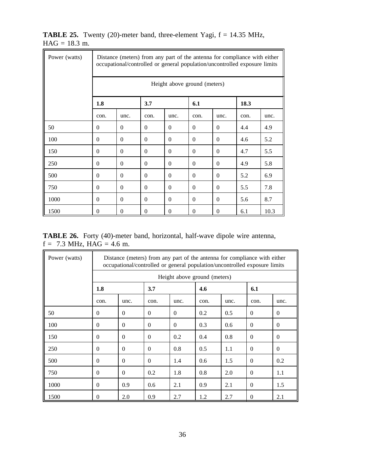|                 |  | <b>TABLE 25.</b> Twenty (20)-meter band, three-element Yagi, $f = 14.35$ MHz, |
|-----------------|--|-------------------------------------------------------------------------------|
| $HAG = 18.3$ m. |  |                                                                               |

| Power (watts) |          | Distance (meters) from any part of the antenna for compliance with either<br>occupational/controlled or general population/uncontrolled exposure limits<br>Height above ground (meters) |          |          |          |          |      |      |  |
|---------------|----------|-----------------------------------------------------------------------------------------------------------------------------------------------------------------------------------------|----------|----------|----------|----------|------|------|--|
|               |          |                                                                                                                                                                                         |          |          |          |          |      |      |  |
|               | 1.8      |                                                                                                                                                                                         | 3.7      |          | 6.1      |          | 18.3 |      |  |
|               | con.     | unc.                                                                                                                                                                                    | con.     | unc.     | con.     | unc.     | con. | unc. |  |
| 50            | $\Omega$ | $\Omega$                                                                                                                                                                                | $\Omega$ | $\Omega$ | $\theta$ | $\Omega$ | 4.4  | 4.9  |  |
| 100           | $\theta$ | $\Omega$                                                                                                                                                                                | $\Omega$ | $\theta$ | $\theta$ | $\Omega$ | 4.6  | 5.2  |  |
| 150           | $\theta$ | $\Omega$                                                                                                                                                                                | $\Omega$ | $\theta$ | $\Omega$ | $\Omega$ | 4.7  | 5.5  |  |
| 250           | $\Omega$ | $\Omega$                                                                                                                                                                                | $\Omega$ | $\theta$ | $\theta$ | $\Omega$ | 4.9  | 5.8  |  |
| 500           | $\theta$ | $\Omega$                                                                                                                                                                                | $\Omega$ | $\Omega$ | $\theta$ | $\Omega$ | 5.2  | 6.9  |  |
| 750           | $\theta$ | $\Omega$                                                                                                                                                                                | $\Omega$ | $\theta$ | $\Omega$ | $\Omega$ | 5.5  | 7.8  |  |
| 1000          | $\Omega$ | $\Omega$                                                                                                                                                                                | $\Omega$ | $\theta$ | $\Omega$ | $\Omega$ | 5.6  | 8.7  |  |
| 1500          | $\Omega$ | $\Omega$                                                                                                                                                                                | $\Omega$ | $\Omega$ | $\Omega$ | $\theta$ | 6.1  | 10.3 |  |

**TABLE 26.** Forty (40)-meter band, horizontal, half-wave dipole wire antenna,  $f = 7.3$  MHz, HAG = 4.6 m.

| Power (watts) |          | Distance (meters) from any part of the antenna for compliance with either<br>occupational/controlled or general population/uncontrolled exposure limits |          |          |      |      |          |          |  |  |
|---------------|----------|---------------------------------------------------------------------------------------------------------------------------------------------------------|----------|----------|------|------|----------|----------|--|--|
|               |          | Height above ground (meters)                                                                                                                            |          |          |      |      |          |          |  |  |
|               | 1.8      |                                                                                                                                                         |          |          | 4.6  | 6.1  |          |          |  |  |
|               | con.     | unc.                                                                                                                                                    | con.     | unc.     | con. | unc. | con.     | unc.     |  |  |
| 50            | $\Omega$ | $\Omega$                                                                                                                                                | $\Omega$ | $\Omega$ | 0.2  | 0.5  | $\Omega$ | $\Omega$ |  |  |
| 100           | $\Omega$ | $\Omega$                                                                                                                                                | $\Omega$ | $\Omega$ | 0.3  | 0.6  | $\Omega$ | $\Omega$ |  |  |
| 150           | $\Omega$ | $\Omega$                                                                                                                                                | $\Omega$ | 0.2      | 0.4  | 0.8  | $\Omega$ | $\Omega$ |  |  |
| 250           | $\Omega$ | $\Omega$                                                                                                                                                | $\Omega$ | 0.8      | 0.5  | 1.1  | $\Omega$ | $\Omega$ |  |  |
| 500           | $\Omega$ | $\Omega$                                                                                                                                                | $\Omega$ | 1.4      | 0.6  | 1.5  | $\Omega$ | 0.2      |  |  |
| 750           | $\Omega$ | $\Omega$                                                                                                                                                | 0.2      | 1.8      | 0.8  | 2.0  | $\Omega$ | 1.1      |  |  |
| 1000          | $\Omega$ | 0.9                                                                                                                                                     | 0.6      | 2.1      | 0.9  | 2.1  | $\Omega$ | 1.5      |  |  |
| 1500          | $\Omega$ | 2.0                                                                                                                                                     | 0.9      | 2.7      | 1.2  | 2.7  | 0        | 2.1      |  |  |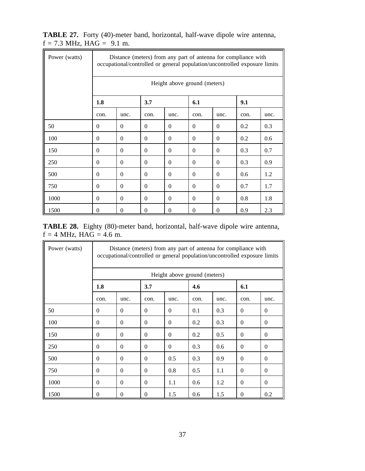| <b>TABLE 27.</b> Forty (40)-meter band, horizontal, half-wave dipole wire antenna, |  |
|------------------------------------------------------------------------------------|--|
| $f = 7.3$ MHz, HAG = 9.1 m.                                                        |  |

| Power (watts) |          | Distance (meters) from any part of antenna for compliance with<br>occupational/controlled or general population/uncontrolled exposure limits<br>Height above ground (meters) |              |          |          |              |      |      |  |  |
|---------------|----------|------------------------------------------------------------------------------------------------------------------------------------------------------------------------------|--------------|----------|----------|--------------|------|------|--|--|
|               |          |                                                                                                                                                                              |              |          |          |              |      |      |  |  |
|               | 1.8      |                                                                                                                                                                              | 3.7          |          | 6.1      |              | 9.1  |      |  |  |
|               | con.     | unc.                                                                                                                                                                         | con.         | unc.     | con.     | unc.         | con. | unc. |  |  |
| 50            | $\Omega$ | $\Omega$                                                                                                                                                                     | $\Omega$     | $\Omega$ | $\theta$ | $\mathbf{0}$ | 0.2  | 0.3  |  |  |
| 100           | $\Omega$ | $\mathbf{0}$                                                                                                                                                                 | $\Omega$     | $\Omega$ | $\theta$ | $\Omega$     | 0.2  | 0.6  |  |  |
| 150           | $\theta$ | $\Omega$                                                                                                                                                                     | $\Omega$     | $\theta$ | $\Omega$ | $\Omega$     | 0.3  | 0.7  |  |  |
| 250           | $\Omega$ | $\Omega$                                                                                                                                                                     | $\Omega$     | $\theta$ | $\theta$ | $\Omega$     | 0.3  | 0.9  |  |  |
| 500           | $\Omega$ | $\mathbf{0}$                                                                                                                                                                 | $\Omega$     | $\Omega$ | $\theta$ | $\Omega$     | 0.6  | 1.2  |  |  |
| 750           | $\theta$ | $\mathbf{0}$                                                                                                                                                                 | $\Omega$     | $\theta$ | $\Omega$ | $\mathbf{0}$ | 0.7  | 1.7  |  |  |
| 1000          | $\Omega$ | $\Omega$                                                                                                                                                                     | $\Omega$     | $\theta$ | $\theta$ | $\Omega$     | 0.8  | 1.8  |  |  |
| 1500          | $\theta$ | $\mathbf{0}$                                                                                                                                                                 | $\mathbf{0}$ | $\theta$ | $\theta$ | $\theta$     | 0.9  | 2.3  |  |  |

**TABLE 28.** Eighty (80)-meter band, horizontal, half-wave dipole wire antenna,  $f = 4$  MHz, HAG = 4.6 m.

| Power (watts) |              | Distance (meters) from any part of antenna for compliance with<br>occupational/controlled or general population/uncontrolled exposure limits |          |          |     |     |          |          |  |  |
|---------------|--------------|----------------------------------------------------------------------------------------------------------------------------------------------|----------|----------|-----|-----|----------|----------|--|--|
|               |              | Height above ground (meters)                                                                                                                 |          |          |     |     |          |          |  |  |
|               | 1.8          | 4.6<br>3.7<br>6.1                                                                                                                            |          |          |     |     |          |          |  |  |
|               | con.         | unc.<br>con.<br>unc.<br>con.<br>con.<br>unc.                                                                                                 |          |          |     |     |          |          |  |  |
| 50            | $\Omega$     | $\Omega$                                                                                                                                     | $\Omega$ | $\theta$ | 0.1 | 0.3 | $\Omega$ | $\Omega$ |  |  |
| 100           | $\Omega$     | $\Omega$                                                                                                                                     | $\Omega$ | $\theta$ | 0.2 | 0.3 | $\Omega$ | $\Omega$ |  |  |
| 150           | $\Omega$     | $\Omega$                                                                                                                                     | $\Omega$ | $\Omega$ | 0.2 | 0.5 | $\Omega$ | $\Omega$ |  |  |
| 250           | $\mathbf{0}$ | $\mathbf{0}$                                                                                                                                 | $\Omega$ | $\Omega$ | 0.3 | 0.6 | $\Omega$ | $\Omega$ |  |  |
| 500           | $\theta$     | $\overline{0}$                                                                                                                               | $\Omega$ | 0.5      | 0.3 | 0.9 | $\Omega$ | $\Omega$ |  |  |
| 750           | $\theta$     | 0.8<br>0.5<br>$\overline{0}$<br>1.1<br>$\Omega$<br>$\Omega$<br>$\mathbf{0}$                                                                  |          |          |     |     |          |          |  |  |
| 1000          | $\Omega$     | $\Omega$                                                                                                                                     | $\Omega$ | 1.1      | 0.6 | 1.2 | $\Omega$ | $\Omega$ |  |  |
| 1500          | $\Omega$     | $\overline{0}$                                                                                                                               | $\Omega$ | 1.5      | 0.6 | 1.5 | $\theta$ | 0.2      |  |  |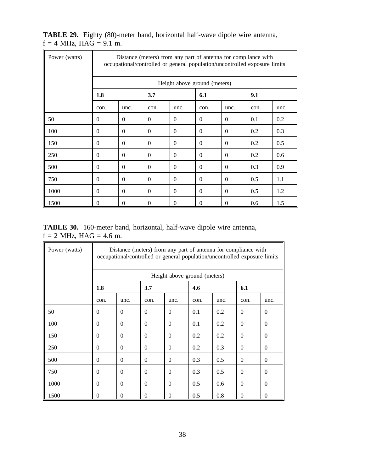| <b>TABLE 29.</b> Eighty (80)-meter band, horizontal half-wave dipole wire antenna, |  |  |  |
|------------------------------------------------------------------------------------|--|--|--|
| $f = 4$ MHz, HAG = 9.1 m.                                                          |  |  |  |

| Power (watts) |              | Distance (meters) from any part of antenna for compliance with<br>occupational/controlled or general population/uncontrolled exposure limits |          |          |              |          |     |     |  |  |  |
|---------------|--------------|----------------------------------------------------------------------------------------------------------------------------------------------|----------|----------|--------------|----------|-----|-----|--|--|--|
|               |              | Height above ground (meters)                                                                                                                 |          |          |              |          |     |     |  |  |  |
|               | 1.8          | 3.7<br>6.1<br>9.1                                                                                                                            |          |          |              |          |     |     |  |  |  |
|               | con.         | con.<br>con.<br>unc.<br>unc.<br>con.<br>unc.                                                                                                 |          |          |              |          |     |     |  |  |  |
| 50            | $\Omega$     | $\Omega$                                                                                                                                     | $\Omega$ | $\Omega$ | $\Omega$     | $\Omega$ | 0.1 | 0.2 |  |  |  |
| 100           | $\Omega$     | $\Omega$                                                                                                                                     | $\theta$ | $\Omega$ | $\Omega$     | $\Omega$ | 0.2 | 0.3 |  |  |  |
| 150           | $\Omega$     | $\Omega$                                                                                                                                     | $\Omega$ | $\Omega$ | $\Omega$     | $\Omega$ | 0.2 | 0.5 |  |  |  |
| 250           | $\mathbf{0}$ | $\Omega$                                                                                                                                     | $\theta$ | $\Omega$ | $\Omega$     | $\Omega$ | 0.2 | 0.6 |  |  |  |
| 500           | $\Omega$     | $\Omega$                                                                                                                                     | $\Omega$ | $\theta$ | $\mathbf{0}$ | $\Omega$ | 0.3 | 0.9 |  |  |  |
| 750           | $\Omega$     | 0.5<br>$\Omega$<br>$\theta$<br>$\mathbf{0}$<br>$\Omega$<br>1.1<br>$\Omega$                                                                   |          |          |              |          |     |     |  |  |  |
| 1000          | $\Omega$     | $\Omega$                                                                                                                                     | $\Omega$ | $\Omega$ | $\Omega$     | $\Omega$ | 0.5 | 1.2 |  |  |  |
| 1500          | 0            | $\Omega$                                                                                                                                     | 0        | $\Omega$ | 0            | $\Omega$ | 0.6 | 1.5 |  |  |  |

**TABLE 30.** 160-meter band, horizontal, half-wave dipole wire antenna,  $f = 2$  MHz, HAG = 4.6 m.

| Power (watts) |              | Distance (meters) from any part of antenna for compliance with<br>occupational/controlled or general population/uncontrolled exposure limits |          |          |      |      |          |          |  |  |
|---------------|--------------|----------------------------------------------------------------------------------------------------------------------------------------------|----------|----------|------|------|----------|----------|--|--|
|               |              | Height above ground (meters)                                                                                                                 |          |          |      |      |          |          |  |  |
|               | 1.8          | 4.6<br>3.7<br>6.1                                                                                                                            |          |          |      |      |          |          |  |  |
|               | con.         | unc.                                                                                                                                         | con.     | unc.     | con. | unc. | con.     | unc.     |  |  |
| 50            | $\mathbf{0}$ | $\Omega$                                                                                                                                     | $\Omega$ | $\Omega$ | 0.1  | 0.2  | $\Omega$ | $\Omega$ |  |  |
| 100           | $\mathbf{0}$ | $\Omega$                                                                                                                                     | $\Omega$ | $\Omega$ | 0.1  | 0.2  | $\theta$ | $\Omega$ |  |  |
| 150           | $\mathbf{0}$ | $\Omega$                                                                                                                                     | $\Omega$ | $\Omega$ | 0.2  | 0.2  | $\theta$ | $\Omega$ |  |  |
| 250           | $\mathbf{0}$ | $\Omega$                                                                                                                                     | $\Omega$ | $\Omega$ | 0.2  | 0.3  | $\Omega$ | $\Omega$ |  |  |
| 500           | $\Omega$     | $\Omega$                                                                                                                                     | $\Omega$ | $\Omega$ | 0.3  | 0.5  | $\theta$ | $\Omega$ |  |  |
| 750           | $\mathbf{0}$ | 0.3<br>0.5<br>$\Omega$<br>$\theta$<br>$\theta$<br>$\Omega$<br>$\mathbf{0}$                                                                   |          |          |      |      |          |          |  |  |
| 1000          | $\mathbf{0}$ | 0.5<br>$\Omega$<br>$\Omega$<br>$\mathbf{0}$<br>$\Omega$<br>0.6<br>$\mathbf{0}$                                                               |          |          |      |      |          |          |  |  |
| 1500          | $\Omega$     | $\overline{0}$                                                                                                                               | $\Omega$ | $\Omega$ | 0.5  | 0.8  | $\theta$ | $\Omega$ |  |  |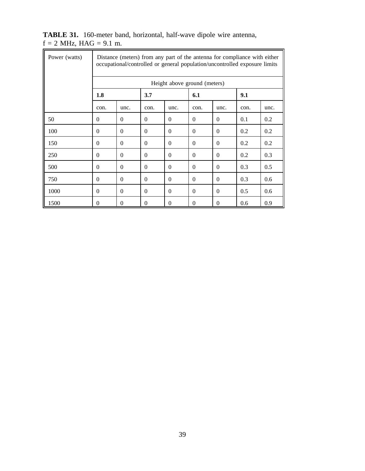| Power (watts) |              | Distance (meters) from any part of the antenna for compliance with either<br>occupational/controlled or general population/uncontrolled exposure limits |          |              |          |              |      |      |  |  |  |
|---------------|--------------|---------------------------------------------------------------------------------------------------------------------------------------------------------|----------|--------------|----------|--------------|------|------|--|--|--|
|               |              | Height above ground (meters)                                                                                                                            |          |              |          |              |      |      |  |  |  |
|               | 1.8          | 3.7<br>6.1<br>9.1                                                                                                                                       |          |              |          |              |      |      |  |  |  |
|               | con.         | unc.                                                                                                                                                    | con.     | unc.         | con.     | unc.         | con. | unc. |  |  |  |
| 50            | $\Omega$     | $\Omega$                                                                                                                                                | $\Omega$ | $\mathbf{0}$ | $\Omega$ | $\Omega$     | 0.1  | 0.2  |  |  |  |
| 100           | $\Omega$     | $\Omega$                                                                                                                                                | $\Omega$ | $\Omega$     | $\Omega$ | $\Omega$     | 0.2  | 0.2  |  |  |  |
| 150           | $\mathbf{0}$ | $\Omega$                                                                                                                                                | $\theta$ | $\theta$     | $\Omega$ | $\mathbf{0}$ | 0.2  | 0.2  |  |  |  |
| 250           | $\Omega$     | $\Omega$                                                                                                                                                | $\Omega$ | $\Omega$     | $\Omega$ | $\Omega$     | 0.2  | 0.3  |  |  |  |
| 500           | $\Omega$     | $\Omega$                                                                                                                                                | $\Omega$ | $\theta$     | $\Omega$ | $\Omega$     | 0.3  | 0.5  |  |  |  |
| 750           | $\mathbf{0}$ | $\theta$                                                                                                                                                | $\theta$ | $\theta$     | $\theta$ | $\mathbf{0}$ | 0.3  | 0.6  |  |  |  |
| 1000          | $\Omega$     | 0.5<br>$\theta$<br>$\Omega$<br>$\Omega$<br>$\theta$<br>$\mathbf{0}$<br>0.6                                                                              |          |              |          |              |      |      |  |  |  |
| 1500          | $\Omega$     | $\theta$                                                                                                                                                | $\Omega$ | $\Omega$     | $\theta$ | $\theta$     | 0.6  | 0.9  |  |  |  |

| <b>TABLE 31.</b> 160-meter band, horizontal, half-wave dipole wire antenna, |  |  |  |  |
|-----------------------------------------------------------------------------|--|--|--|--|
| $f = 2$ MHz, HAG = 9.1 m.                                                   |  |  |  |  |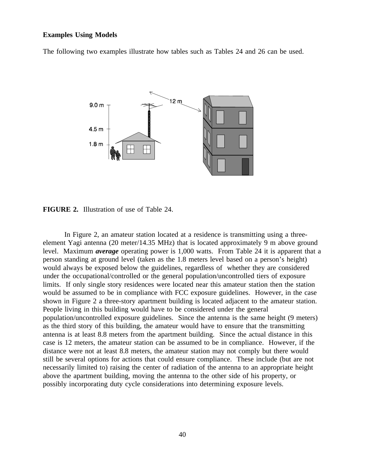#### **Examples Using Models**

The following two examples illustrate how tables such as Tables 24 and 26 can be used.



**FIGURE 2.** Illustration of use of Table 24.

In Figure 2, an amateur station located at a residence is transmitting using a threeelement Yagi antenna (20 meter/14.35 MHz) that is located approximately 9 m above ground level. Maximum *average* operating power is 1,000 watts. From Table 24 it is apparent that a person standing at ground level (taken as the 1.8 meters level based on a person's height) would always be exposed below the guidelines, regardless of whether they are considered under the occupational/controlled or the general population/uncontrolled tiers of exposure limits. If only single story residences were located near this amateur station then the station would be assumed to be in compliance with FCC exposure guidelines. However, in the case shown in Figure 2 a three-story apartment building is located adjacent to the amateur station. People living in this building would have to be considered under the general population/uncontrolled exposure guidelines. Since the antenna is the same height (9 meters) as the third story of this building, the amateur would have to ensure that the transmitting antenna is at least 8.8 meters from the apartment building. Since the actual distance in this case is 12 meters, the amateur station can be assumed to be in compliance. However, if the distance were not at least 8.8 meters, the amateur station may not comply but there would still be several options for actions that could ensure compliance. These include (but are not necessarily limited to) raising the center of radiation of the antenna to an appropriate height above the apartment building, moving the antenna to the other side of his property, or possibly incorporating duty cycle considerations into determining exposure levels.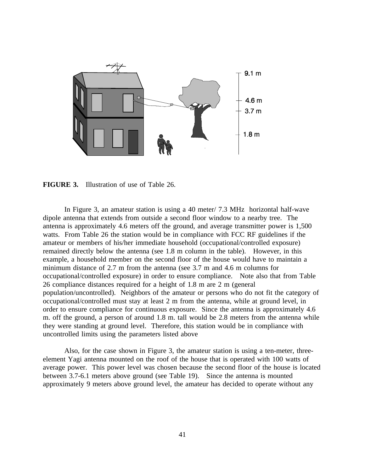

**FIGURE 3.** Illustration of use of Table 26.

In Figure 3, an amateur station is using a 40 meter/ 7.3 MHz horizontal half-wave dipole antenna that extends from outside a second floor window to a nearby tree. The antenna is approximately 4.6 meters off the ground, and average transmitter power is 1,500 watts. From Table 26 the station would be in compliance with FCC RF guidelines if the amateur or members of his/her immediate household (occupational/controlled exposure) remained directly below the antenna (see 1.8 m column in the table). However, in this example, a household member on the second floor of the house would have to maintain a minimum distance of 2.7 m from the antenna (see 3.7 m and 4.6 m columns for occupational/controlled exposure) in order to ensure compliance. Note also that from Table 26 compliance distances required for a height of 1.8 m are 2 m (general population/uncontrolled). Neighbors of the amateur or persons who do not fit the category of occupational/controlled must stay at least 2 m from the antenna, while at ground level, in order to ensure compliance for continuous exposure. Since the antenna is approximately 4.6 m. off the ground, a person of around 1.8 m. tall would be 2.8 meters from the antenna while they were standing at ground level. Therefore, this station would be in compliance with uncontrolled limits using the parameters listed above

Also, for the case shown in Figure 3, the amateur station is using a ten-meter, threeelement Yagi antenna mounted on the roof of the house that is operated with 100 watts of average power. This power level was chosen because the second floor of the house is located between 3.7-6.1 meters above ground (see Table 19). Since the antenna is mounted approximately 9 meters above ground level, the amateur has decided to operate without any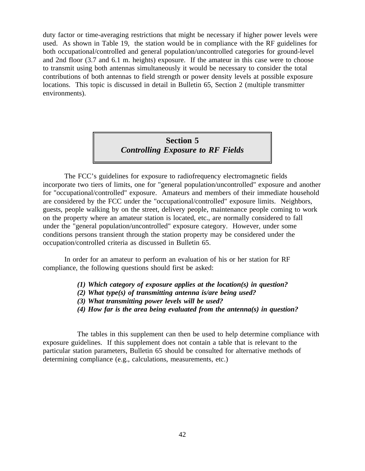duty factor or time-averaging restrictions that might be necessary if higher power levels were used. As shown in Table 19, the station would be in compliance with the RF guidelines for both occupational/controlled and general population/uncontrolled categories for ground-level and 2nd floor (3.7 and 6.1 m. heights) exposure. If the amateur in this case were to choose to transmit using both antennas simultaneously it would be necessary to consider the total contributions of both antennas to field strength or power density levels at possible exposure locations. This topic is discussed in detail in Bulletin 65, Section 2 (multiple transmitter environments).

> **Section 5** *Controlling Exposure to RF Fields*

The FCC's guidelines for exposure to radiofrequency electromagnetic fields incorporate two tiers of limits, one for "general population/uncontrolled" exposure and another for "occupational/controlled" exposure. Amateurs and members of their immediate household are considered by the FCC under the "occupational/controlled" exposure limits. Neighbors, guests, people walking by on the street, delivery people, maintenance people coming to work on the property where an amateur station is located, etc., are normally considered to fall under the "general population/uncontrolled" exposure category. However, under some conditions persons transient through the station property may be considered under the occupation/controlled criteria as discussed in Bulletin 65.

In order for an amateur to perform an evaluation of his or her station for RF compliance, the following questions should first be asked:

- *(1) Which category of exposure applies at the location(s) in question?*
- *(2) What type(s) of transmitting antenna is/are being used?*
- *(3) What transmitting power levels will be used?*
- *(4) How far is the area being evaluated from the antenna(s) in question?*

The tables in this supplement can then be used to help determine compliance with exposure guidelines. If this supplement does not contain a table that is relevant to the particular station parameters, Bulletin 65 should be consulted for alternative methods of determining compliance (e.g., calculations, measurements, etc.)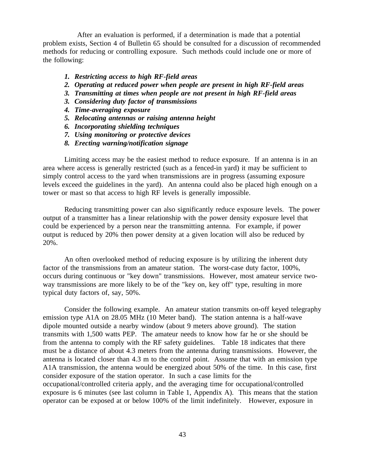After an evaluation is performed, if a determination is made that a potential problem exists, Section 4 of Bulletin 65 should be consulted for a discussion of recommended methods for reducing or controlling exposure. Such methods could include one or more of the following:

#### *1. Restricting access to high RF-field areas*

- *2. Operating at reduced power when people are present in high RF-field areas*
- *3. Transmitting at times when people are not present in high RF-field areas*
- *3. Considering duty factor of transmissions*
- *4. Time-averaging exposure*
- *5. Relocating antennas or raising antenna height*
- *6. Incorporating shielding techniques*
- *7. Using monitoring or protective devices*
- *8. Erecting warning/notification signage*

Limiting access may be the easiest method to reduce exposure. If an antenna is in an area where access is generally restricted (such as a fenced-in yard) it may be sufficient to simply control access to the yard when transmissions are in progress (assuming exposure levels exceed the guidelines in the yard). An antenna could also be placed high enough on a tower or mast so that access to high RF levels is generally impossible.

Reducing transmitting power can also significantly reduce exposure levels. The power output of a transmitter has a linear relationship with the power density exposure level that could be experienced by a person near the transmitting antenna. For example, if power output is reduced by 20% then power density at a given location will also be reduced by 20%.

An often overlooked method of reducing exposure is by utilizing the inherent duty factor of the transmissions from an amateur station. The worst-case duty factor, 100%, occurs during continuous or "key down" transmissions. However, most amateur service twoway transmissions are more likely to be of the "key on, key off" type, resulting in more typical duty factors of, say, 50%.

Consider the following example. An amateur station transmits on-off keyed telegraphy emission type A1A on 28.05 MHz (10 Meter band). The station antenna is a half-wave dipole mounted outside a nearby window (about 9 meters above ground). The station transmits with 1,500 watts PEP. The amateur needs to know how far he or she should be from the antenna to comply with the RF safety guidelines. Table 18 indicates that there must be a distance of about 4.3 meters from the antenna during transmissions. However, the antenna is located closer than 4.3 m to the control point. Assume that with an emission type A1A transmission, the antenna would be energized about 50% of the time. In this case, first consider exposure of the station operator. In such a case limits for the occupational/controlled criteria apply, and the averaging time for occupational/controlled exposure is 6 minutes (see last column in Table 1, Appendix A). This means that the station operator can be exposed at or below 100% of the limit indefinitely. However, exposure in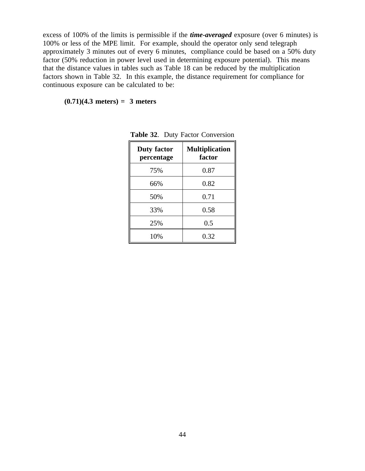excess of 100% of the limits is permissible if the *time-averaged* exposure (over 6 minutes) is 100% or less of the MPE limit. For example, should the operator only send telegraph approximately 3 minutes out of every 6 minutes, compliance could be based on a 50% duty factor (50% reduction in power level used in determining exposure potential). This means that the distance values in tables such as Table 18 can be reduced by the multiplication factors shown in Table 32. In this example, the distance requirement for compliance for continuous exposure can be calculated to be:

#### **(0.71)(4.3 meters) = 3 meters**

| <b>Table <math>\overline{v}</math></b> $\overline{u}$ . Duty Tackof Conversion |                                 |  |  |  |  |
|--------------------------------------------------------------------------------|---------------------------------|--|--|--|--|
| Duty factor<br>percentage                                                      | <b>Multiplication</b><br>factor |  |  |  |  |
| 75%                                                                            | 0.87                            |  |  |  |  |
| 66%                                                                            | 0.82                            |  |  |  |  |
| 50%                                                                            | 0.71                            |  |  |  |  |
| 33%                                                                            | 0.58                            |  |  |  |  |
| 25%                                                                            | 0.5                             |  |  |  |  |
| 10%                                                                            | 0.32                            |  |  |  |  |

**Table 32**. Duty Factor Conversion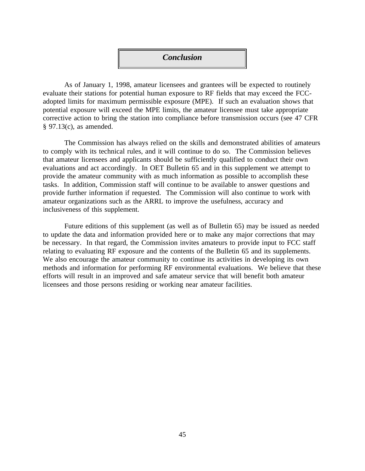#### *Conclusion*

As of January 1, 1998, amateur licensees and grantees will be expected to routinely evaluate their stations for potential human exposure to RF fields that may exceed the FCCadopted limits for maximum permissible exposure (MPE). If such an evaluation shows that potential exposure will exceed the MPE limits, the amateur licensee must take appropriate corrective action to bring the station into compliance before transmission occurs (see 47 CFR § 97.13(c), as amended.

The Commission has always relied on the skills and demonstrated abilities of amateurs to comply with its technical rules, and it will continue to do so. The Commission believes that amateur licensees and applicants should be sufficiently qualified to conduct their own evaluations and act accordingly. In OET Bulletin 65 and in this supplement we attempt to provide the amateur community with as much information as possible to accomplish these tasks. In addition, Commission staff will continue to be available to answer questions and provide further information if requested. The Commission will also continue to work with amateur organizations such as the ARRL to improve the usefulness, accuracy and inclusiveness of this supplement.

Future editions of this supplement (as well as of Bulletin 65) may be issued as needed to update the data and information provided here or to make any major corrections that may be necessary. In that regard, the Commission invites amateurs to provide input to FCC staff relating to evaluating RF exposure and the contents of the Bulletin 65 and its supplements. We also encourage the amateur community to continue its activities in developing its own methods and information for performing RF environmental evaluations. We believe that these efforts will result in an improved and safe amateur service that will benefit both amateur licensees and those persons residing or working near amateur facilities.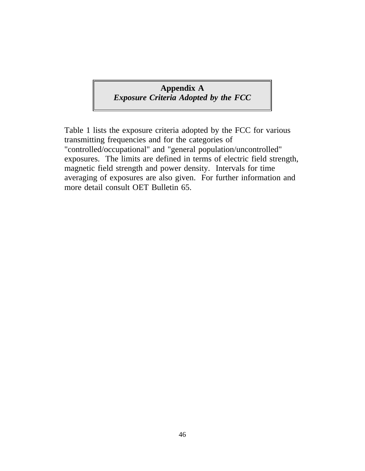**Appendix A** *Exposure Criteria Adopted by the FCC*

Table 1 lists the exposure criteria adopted by the FCC for various transmitting frequencies and for the categories of "controlled/occupational" and "general population/uncontrolled" exposures. The limits are defined in terms of electric field strength, magnetic field strength and power density. Intervals for time averaging of exposures are also given. For further information and more detail consult OET Bulletin 65.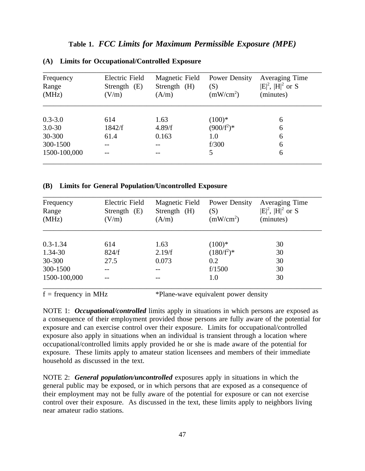#### **Table 1.** *FCC Limits for Maximum Permissible Exposure (MPE)*

| Frequency<br>Range<br>(MHz) | Electric Field<br>Strength $(E)$<br>(V/m) | Magnetic Field<br>Strength (H)<br>(A/m) | Power Density<br>(S)<br>(mW/cm <sup>2</sup> ) | Averaging Time<br>$ E ^2$ , $ H ^2$ or S<br>(minutes) |
|-----------------------------|-------------------------------------------|-----------------------------------------|-----------------------------------------------|-------------------------------------------------------|
| $0.3 - 3.0$                 | 614                                       | 1.63                                    | $(100)*$                                      | 6                                                     |
| $3.0 - 30$                  | 1842/f                                    | 4.89/f                                  | $(900/f^2)*$                                  | 6                                                     |
| 30-300                      | 61.4                                      | 0.163                                   | 1.0                                           | 6                                                     |
| 300-1500                    |                                           |                                         | f/300                                         | 6                                                     |
| 1500-100,000                |                                           |                                         | 5                                             | 6                                                     |

#### **(A) Limits for Occupational/Controlled Exposure**

#### **(B) Limits for General Population/Uncontrolled Exposure**

| Frequency<br>Range<br>(MHz) | Electric Field<br>Strength $(E)$<br>(V/m) | Magnetic Field<br>Strength (H)<br>(A/m) | Power Density<br>(S)<br>(mW/cm <sup>2</sup> ) | Averaging Time<br>$ E ^2$ , $ H ^2$ or S<br>(minutes) |
|-----------------------------|-------------------------------------------|-----------------------------------------|-----------------------------------------------|-------------------------------------------------------|
| $0.3 - 1.34$                | 614                                       | 1.63                                    | $(100)*$                                      | 30                                                    |
| 1.34-30                     | 824/f                                     | 2.19/f                                  | $(180/f^2)^*$                                 | 30                                                    |
| 30-300                      | 27.5                                      | 0.073                                   | 0.2                                           | 30                                                    |
| 300-1500                    |                                           |                                         | f/1500                                        | 30                                                    |
| 1500-100,000                |                                           |                                         | 1.0                                           | 30                                                    |

 $f = frequency in MHz$  \*Plane-wave equivalent power density

NOTE 1: *Occupational/controlled* limits apply in situations in which persons are exposed as a consequence of their employment provided those persons are fully aware of the potential for exposure and can exercise control over their exposure. Limits for occupational/controlled exposure also apply in situations when an individual is transient through a location where occupational/controlled limits apply provided he or she is made aware of the potential for exposure. These limits apply to amateur station licensees and members of their immediate household as discussed in the text.

NOTE 2: *General population/uncontrolled* exposures apply in situations in which the general public may be exposed, or in which persons that are exposed as a consequence of their employment may not be fully aware of the potential for exposure or can not exercise control over their exposure. As discussed in the text, these limits apply to neighbors living near amateur radio stations.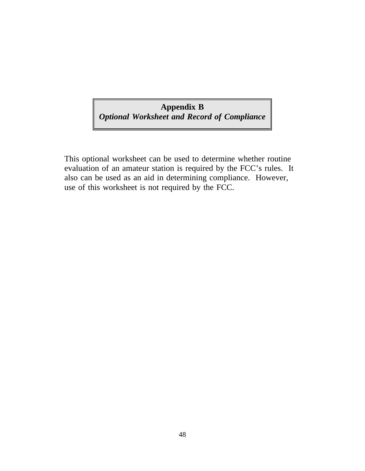# **Appendix B** *Optional Worksheet and Record of Compliance*

This optional worksheet can be used to determine whether routine evaluation of an amateur station is required by the FCC's rules. It also can be used as an aid in determining compliance. However, use of this worksheet is not required by the FCC.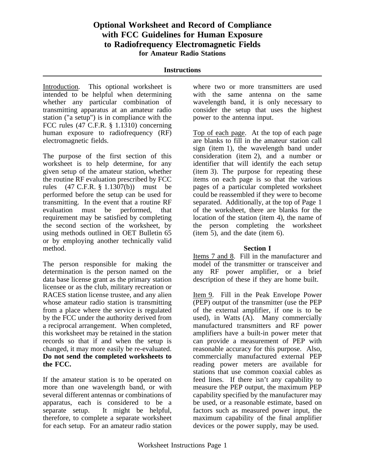#### **Instructions**

Introduction. This optional worksheet is intended to be helpful when determining whether any particular combination of transmitting apparatus at an amateur radio station ("a setup") is in compliance with the FCC rules (47 C.F.R. § 1.1310) concerning human exposure to radiofrequency (RF) electromagnetic fields.

The purpose of the first section of this worksheet is to help determine, for any given setup of the amateur station, whether the routine RF evaluation prescribed by FCC rules (47 C.F.R. § 1.1307(b)) must be performed before the setup can be used for transmitting. In the event that a routine RF evaluation must be performed, that requirement may be satisfied by completing the second section of the worksheet, by using methods outlined in OET Bulletin 65 or by employing another technically valid method.

The person responsible for making the determination is the person named on the data base license grant as the primary station licensee or as the club, military recreation or RACES station license trustee, and any alien whose amateur radio station is transmitting from a place where the service is regulated by the FCC under the authority derived from a reciprocal arrangement. When completed, this worksheet may be retained in the station records so that if and when the setup is changed, it may more easily be re-evaluated. **Do not send the completed worksheets to the FCC.**

If the amateur station is to be operated on more than one wavelength band, or with several different antennas or combinations of apparatus, each is considered to be a separate setup. It might be helpful, therefore, to complete a separate worksheet for each setup. For an amateur radio station where two or more transmitters are used with the same antenna on the same wavelength band, it is only necessary to consider the setup that uses the highest power to the antenna input.

Top of each page. At the top of each page are blanks to fill in the amateur station call sign (item 1), the wavelength band under consideration (item 2), and a number or identifier that will identify the each setup (item 3). The purpose for repeating these items on each page is so that the various pages of a particular completed worksheet could be reassembled if they were to become separated. Additionally, at the top of Page 1 of the worksheet, there are blanks for the location of the station (item 4), the name of the person completing the worksheet (item 5), and the date (item 6).

#### **Section I**

Items 7 and 8. Fill in the manufacturer and model of the transmitter or transceiver and any RF power amplifier, or a brief description of these if they are home built.

Item 9. Fill in the Peak Envelope Power (PEP) output of the transmitter (use the PEP of the external amplifier, if one is to be used), in Watts (A). Many commercially manufactured transmitters and RF power amplifiers have a built-in power meter that can provide a measurement of PEP with reasonable accuracy for this purpose. Also, commercially manufactured external PEP reading power meters are available for stations that use common coaxial cables as feed lines. If there isn't any capability to measure the PEP output, the maximum PEP capability specified by the manufacturer may be used, or a reasonable estimate, based on factors such as measured power input, the maximum capability of the final amplifier devices or the power supply, may be used.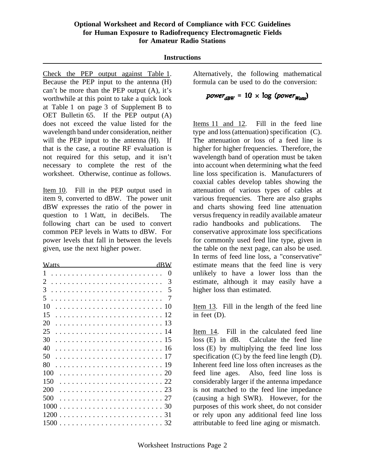#### **Instructions**

Check the PEP output against Table 1. Because the PEP input to the antenna (H) can't be more than the PEP output (A), it's worthwhile at this point to take a quick look at Table 1 on page 3 of Supplement B to OET Bulletin 65. If the PEP output (A) does not exceed the value listed for the wavelength band under consideration, neither will the PEP input to the antenna (H). If that is the case, a routine RF evaluation is not required for this setup, and it isn't necessary to complete the rest of the worksheet. Otherwise, continue as follows.

Item 10. Fill in the PEP output used in item 9, converted to dBW. The power unit dBW expresses the ratio of the power in question to 1 Watt, in deciBels. The following chart can be used to convert common PEP levels in Watts to dBW. For power levels that fall in between the levels given, use the next higher power.

| Watts<br>dBW        |
|---------------------|
| 1<br>0              |
| $\overline{2}$<br>3 |
| 3<br>5              |
| 5<br>7              |
| 10<br>10            |
| 15<br>12            |
| 20<br>13            |
| 25<br>14            |
| 30<br>15            |
| 40<br>16            |
| 50<br>17            |
| 80<br>19            |
| 100<br>20           |
| 150<br>22           |
| 200<br>23           |
| 500<br>27           |
| 1000<br>30          |
| 1200<br>31          |
| 1500<br>32          |

Alternatively, the following mathematical formula can be used to do the conversion:

# power<sub>dBW</sub> = 10  $\times$  log (power<sub>Watts</sub>)

Items 11 and 12. Fill in the feed line type and loss (attenuation) specification (C). The attenuation or loss of a feed line is higher for higher frequencies. Therefore, the wavelength band of operation must be taken into account when determining what the feed line loss specification is. Manufacturers of coaxial cables develop tables showing the attenuation of various types of cables at various frequencies. There are also graphs and charts showing feed line attenuation versus frequency in readily available amateur radio handbooks and publications. The conservative approximate loss specifications for commonly used feed line type, given in the table on the next page, can also be used. In terms of feed line loss, a "conservative" estimate means that the feed line is very unlikely to have a lower loss than the estimate, although it may easily have a higher loss than estimated.

Item 13. Fill in the length of the feed line in feet (D).

Item 14. Fill in the calculated feed line loss (E) in dB. Calculate the feed line loss (E) by multiplying the feed line loss specification (C) by the feed line length (D). Inherent feed line loss often increases as the feed line ages. Also, feed line loss is considerably larger if the antenna impedance is not matched to the feed line impedance (causing a high SWR). However, for the purposes of this work sheet, do not consider or rely upon any additional feed line loss attributable to feed line aging or mismatch.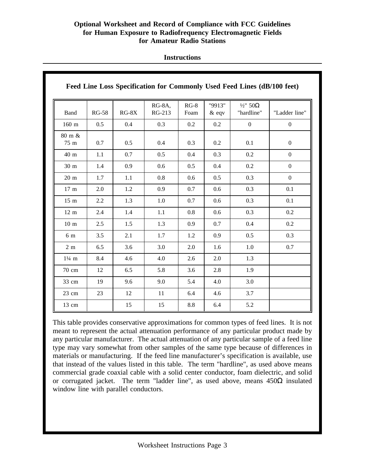#### **Instructions**

|                          |              |         |                  |                |                   | Feed Line Loss Specification for Commonly Used Feed Lines (dB/100 feet) |                  |
|--------------------------|--------------|---------|------------------|----------------|-------------------|-------------------------------------------------------------------------|------------------|
| <b>Band</b>              | <b>RG-58</b> | $RG-8X$ | RG-8A,<br>RG-213 | $RG-8$<br>Foam | "9913"<br>$&$ eqv | $\frac{1}{2}$ " 50 $\Omega$<br>"hardline"                               | "Ladder line"    |
| $160 \text{ m}$          | 0.5          | 0.4     | 0.3              | $0.2\,$        | $0.2\,$           | $\mathbf{0}$                                                            | $\mathbf{0}$     |
| $80 \text{ m}$ &<br>75 m | 0.7          | 0.5     | 0.4              | 0.3            | 0.2               | 0.1                                                                     | $\boldsymbol{0}$ |
| 40 m                     | $1.1\,$      | 0.7     | 0.5              | 0.4            | 0.3               | 0.2                                                                     | $\mathbf{0}$     |
| 30 <sub>m</sub>          | 1.4          | 0.9     | 0.6              | 0.5            | 0.4               | 0.2                                                                     | $\boldsymbol{0}$ |
| $20\ {\rm m}$            | 1.7          | 1.1     | 0.8              | 0.6            | 0.5               | 0.3                                                                     | $\overline{0}$   |
| 17 <sub>m</sub>          | 2.0          | 1.2     | 0.9              | 0.7            | 0.6               | 0.3                                                                     | 0.1              |
| $15 \text{ m}$           | 2.2          | 1.3     | $1.0\,$          | 0.7            | 0.6               | 0.3                                                                     | 0.1              |
| $12 \text{ m}$           | 2.4          | 1.4     | 1.1              | 0.8            | 0.6               | 0.3                                                                     | 0.2              |
| $10\ {\rm m}$            | 2.5          | 1.5     | 1.3              | 0.9            | 0.7               | $0.4\,$                                                                 | $0.2\,$          |
| 6 m                      | 3.5          | 2.1     | 1.7              | 1.2            | 0.9               | 0.5                                                                     | 0.3              |
| 2m                       | 6.5          | 3.6     | 3.0              | 2.0            | 1.6               | 1.0                                                                     | $0.7\,$          |
| $1\frac{1}{4}$ m         | 8.4          | 4.6     | 4.0              | 2.6            | 2.0               | 1.3                                                                     |                  |
| 70 cm                    | 12           | 6.5     | 5.8              | 3.6            | 2.8               | 1.9                                                                     |                  |
| 33 cm                    | 19           | 9.6     | 9.0              | 5.4            | 4.0               | 3.0                                                                     |                  |
| 23 cm                    | 23           | 12      | 11               | 6.4            | 4.6               | 3.7                                                                     |                  |
| 13 cm                    |              | 15      | 15               | 8.8            | 6.4               | 5.2                                                                     |                  |

This table provides conservative approximations for common types of feed lines. It is not meant to represent the actual attenuation performance of any particular product made by any particular manufacturer. The actual attenuation of any particular sample of a feed line type may vary somewhat from other samples of the same type because of differences in materials or manufacturing. If the feed line manufacturer's specification is available, use that instead of the values listed in this table. The term "hardline", as used above means commercial grade coaxial cable with a solid center conductor, foam dielectric, and solid or corrugated jacket. The term "ladder line", as used above, means  $450\Omega$  insulated window line with parallel conductors.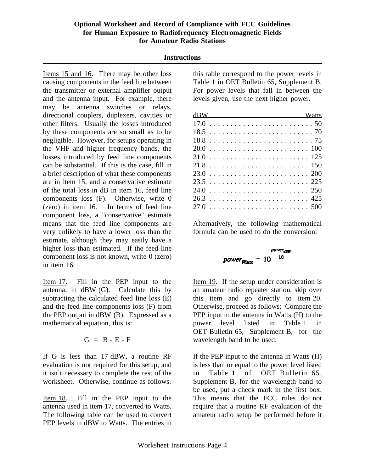#### **Instructions**

Items 15 and 16. There may be other loss causing components in the feed line between the transmitter or external amplifier output and the antenna input. For example, there may be antenna switches or relays, directional couplers, duplexers, cavities or other filters. Usually the losses introduced by these components are so small as to be negligible. However, for setups operating in the VHF and higher frequency bands, the losses introduced by feed line components can be substantial. If this is the case, fill in a brief description of what these components are in item 15, and a conservative estimate of the total loss in dB in item 16, feed line components loss (F). Otherwise, write 0 (zero) in item 16. In terms of feed line component loss, a "conservative" estimate means that the feed line components are very unlikely to have a lower loss than the estimate, although they may easily have a higher loss than estimated. If the feed line component loss is not known, write 0 (zero) in item 16.

Item 17. Fill in the PEP input to the antenna, in dBW (G). Calculate this by subtracting the calculated feed line loss (E) and the feed line components loss (F) from the PEP output in dBW (B). Expressed as a mathematical equation, this is:

$$
G = B - E - F
$$

If G is less than 17 dBW, a routine RF evaluation is not required for this setup, and it isn't necessary to complete the rest of the worksheet. Otherwise, continue as follows.

Item 18. Fill in the PEP input to the antenna used in item 17, converted to Watts. The following table can be used to convert PEP levels in dBW to Watts. The entries in

this table correspond to the power levels in Table 1 in OET Bulletin 65, Supplement B. For power levels that fall in between the levels given, use the next higher power.

| $\text{dBW}$ | <b>Watts</b> |
|--------------|--------------|
|              |              |
| 18.5         |              |
| 18.8         |              |
| 20.0         |              |
|              |              |
|              |              |
| 23.0         |              |
|              |              |
| 24.0         |              |
| 26.3         |              |
|              |              |

Alternatively, the following mathematical formula can be used to do the conversion:

$$
power_{Watts} = 10^{\frac{power_{dBW}}{10}}
$$

Item 19. If the setup under consideration is an amateur radio repeater station, skip over this item and go directly to item 20. Otherwise, proceed as follows: Compare the PEP input to the antenna in Watts (H) to the power level listed in Table 1 in OET Bulletin 65, Supplement B, for the wavelength band to be used.

If the PEP input to the antenna in Watts (H) is less than or equal to the power level listed in Table 1 of OET Bulletin 65, Supplement B, for the wavelength band to be used, put a check mark in the first box. This means that the FCC rules do not require that a routine RF evaluation of the amateur radio setup be performed before it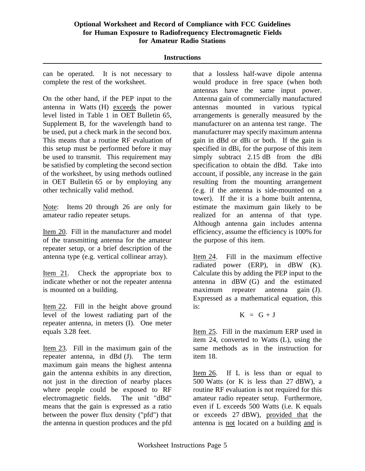#### **Instructions**

can be operated. It is not necessary to complete the rest of the worksheet.

On the other hand, if the PEP input to the antenna in Watts (H) exceeds the power level listed in Table 1 in OET Bulletin 65, Supplement B, for the wavelength band to be used, put a check mark in the second box. This means that a routine RF evaluation of this setup must be performed before it may be used to transmit. This requirement may be satisfied by completing the second section of the worksheet, by using methods outlined in OET Bulletin 65 or by employing any other technically valid method.

Note: Items 20 through 26 are only for amateur radio repeater setups.

Item 20. Fill in the manufacturer and model of the transmitting antenna for the amateur repeater setup, or a brief description of the antenna type (e.g. vertical collinear array).

Item 21. Check the appropriate box to indicate whether or not the repeater antenna is mounted on a building.

Item 22. Fill in the height above ground level of the lowest radiating part of the repeater antenna, in meters (I). One meter equals 3.28 feet.

Item 23. Fill in the maximum gain of the repeater antenna, in dBd (J). The term maximum gain means the highest antenna gain the antenna exhibits in any direction, not just in the direction of nearby places where people could be exposed to RF electromagnetic fields. The unit "dBd" means that the gain is expressed as a ratio between the power flux density ("pfd") that the antenna in question produces and the pfd

that a lossless half-wave dipole antenna would produce in free space (when both antennas have the same input power. Antenna gain of commercially manufactured antennas mounted in various typical arrangements is generally measured by the manufacturer on an antenna test range. The manufacturer may specify maximum antenna gain in dBd or dBi or both. If the gain is specified in dBi, for the purpose of this item simply subtract 2.15 dB from the dBi specification to obtain the dBd. Take into account, if possible, any increase in the gain resulting from the mounting arrangement (e.g. if the antenna is side-mounted on a tower). If the it is a home built antenna, estimate the maximum gain likely to be realized for an antenna of that type. Although antenna gain includes antenna efficiency, assume the efficiency is 100% for the purpose of this item.

Item 24. Fill in the maximum effective radiated power (ERP), in dBW (K). Calculate this by adding the PEP input to the antenna in dBW (G) and the estimated maximum repeater antenna gain (J). Expressed as a mathematical equation, this is:

$$
K = G + J
$$

Item 25. Fill in the maximum ERP used in item 24, converted to Watts (L), using the same methods as in the instruction for item 18.

Item 26. If L is less than or equal to 500 Watts (or K is less than 27 dBW), a routine RF evaluation is not required for this amateur radio repeater setup. Furthermore, even if L exceeds 500 Watts (i.e. K equals or exceeds 27 dBW), provided that the antenna is not located on a building and is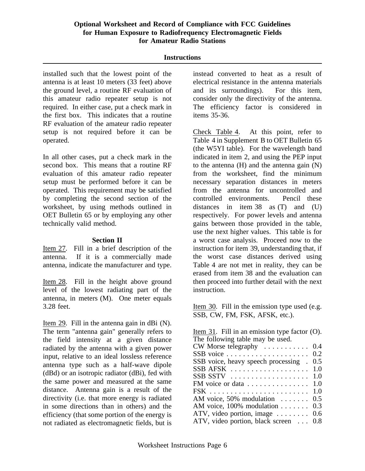#### **Instructions**

installed such that the lowest point of the antenna is at least 10 meters (33 feet) above the ground level, a routine RF evaluation of this amateur radio repeater setup is not required. In either case, put a check mark in the first box. This indicates that a routine RF evaluation of the amateur radio repeater setup is not required before it can be operated.

In all other cases, put a check mark in the second box. This means that a routine RF evaluation of this amateur radio repeater setup must be performed before it can be operated. This requirement may be satisfied by completing the second section of the worksheet, by using methods outlined in OET Bulletin 65 or by employing any other technically valid method.

#### **Section II**

Item 27. Fill in a brief description of the antenna. If it is a commercially made antenna, indicate the manufacturer and type.

Item 28. Fill in the height above ground level of the lowest radiating part of the antenna, in meters (M). One meter equals 3.28 feet.

Item 29. Fill in the antenna gain in dBi (N). The term "antenna gain" generally refers to the field intensity at a given distance radiated by the antenna with a given power input, relative to an ideal lossless reference antenna type such as a half-wave dipole (dBd) or an isotropic radiator (dBi), fed with the same power and measured at the same distance. Antenna gain is a result of the directivity (i.e. that more energy is radiated in some directions than in others) and the efficiency (that some portion of the energy is not radiated as electromagnetic fields, but is

instead converted to heat as a result of electrical resistance in the antenna materials and its surroundings). For this item, consider only the directivity of the antenna. The efficiency factor is considered in items 35-36.

Check Table 4. At this point, refer to Table 4 in Supplement B to OET Bulletin 65 (the W5YI table). For the wavelength band indicated in item 2, and using the PEP input to the antenna (H) and the antenna gain (N) from the worksheet, find the minimum necessary separation distances in meters from the antenna for uncontrolled and controlled environments. Pencil these distances in item 38 as (T) and (U) respectively. For power levels and antenna gains between those provided in the table, use the next higher values. This table is for a worst case analysis. Proceed now to the instruction for item 39, understanding that, if the worst case distances derived using Table 4 are not met in reality, they can be erased from item 38 and the evaluation can then proceed into further detail with the next instruction.

Item 30. Fill in the emission type used (e.g. SSB, CW, FM, FSK, AFSK, etc.).

| Item 31. Fill in an emission type factor $(O)$ .        |     |
|---------------------------------------------------------|-----|
| The following table may be used.                        |     |
| $CW$ Morse telegraphy $\ldots \ldots \ldots \ldots 0.4$ |     |
| $SSB$ voice                                             | 0.2 |
| SSB voice, heavy speech processing.                     | 0.5 |
|                                                         | 1.0 |
|                                                         | 1.0 |
| FM voice or data                                        | 1.0 |
|                                                         | 1.0 |
| AM voice, $50\%$ modulation $\dots \dots$               | 0.5 |
| AM voice, $100\%$ modulation                            | 0.3 |
| ATV, video portion, image $\dots \dots \dots$ 0.6       |     |
| ATV, video portion, black screen 0.8                    |     |
|                                                         |     |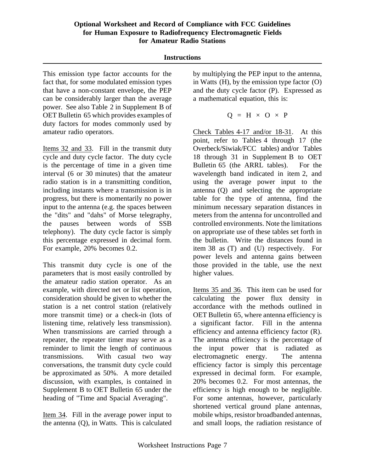#### **Instructions**

This emission type factor accounts for the fact that, for some modulated emission types that have a non-constant envelope, the PEP can be considerably larger than the average power. See also Table 2 in Supplement B of OET Bulletin 65 which provides examples of duty factors for modes commonly used by amateur radio operators.

Items 32 and 33. Fill in the transmit duty cycle and duty cycle factor. The duty cycle is the percentage of time in a given time interval (6 or 30 minutes) that the amateur radio station is in a transmitting condition, including instants where a transmission is in progress, but there is momentarily no power input to the antenna (e.g. the spaces between the "dits" and "dahs" of Morse telegraphy, the pauses between words of SSB telephony). The duty cycle factor is simply this percentage expressed in decimal form. For example, 20% becomes 0.2.

This transmit duty cycle is one of the parameters that is most easily controlled by the amateur radio station operator. As an example, with directed net or list operation, consideration should be given to whether the station is a net control station (relatively more transmit time) or a check-in (lots of listening time, relatively less transmission). When transmissions are carried through a repeater, the repeater timer may serve as a reminder to limit the length of continuous transmissions. With casual two way conversations, the transmit duty cycle could be approximated as 50%. A more detailed discussion, with examples, is contained in Supplement B to OET Bulletin 65 under the heading of "Time and Spacial Averaging".

Item 34. Fill in the average power input to the antenna (Q), in Watts. This is calculated by multiplying the PEP input to the antenna, in Watts (H), by the emission type factor (O) and the duty cycle factor (P). Expressed as a mathematical equation, this is:

$$
Q = H \times O \times P
$$

Check Tables 4-17 and/or 18-31. At this point, refer to Tables 4 through 17 (the Overbeck/Siwiak/FCC tables) and/or Tables 18 through 31 in Supplement B to OET Bulletin 65 (the ARRL tables). For the wavelength band indicated in item 2, and using the average power input to the antenna (Q) and selecting the appropriate table for the type of antenna, find the minimum necessary separation distances in meters from the antenna for uncontrolled and controlled environments. Note the limitations on appropriate use of these tables set forth in the bulletin. Write the distances found in item 38 as (T) and (U) respectively. For power levels and antenna gains between those provided in the table, use the next higher values.

Items 35 and 36. This item can be used for calculating the power flux density in accordance with the methods outlined in OET Bulletin 65, where antenna efficiency is a significant factor. Fill in the antenna efficiency and antenna efficiency factor (R). The antenna efficiency is the percentage of the input power that is radiated as electromagnetic energy. The antenna efficiency factor is simply this percentage expressed in decimal form. For example, 20% becomes 0.2. For most antennas, the efficiency is high enough to be negligible. For some antennas, however, particularly shortened vertical ground plane antennas, mobile whips, resistor broadbanded antennas, and small loops, the radiation resistance of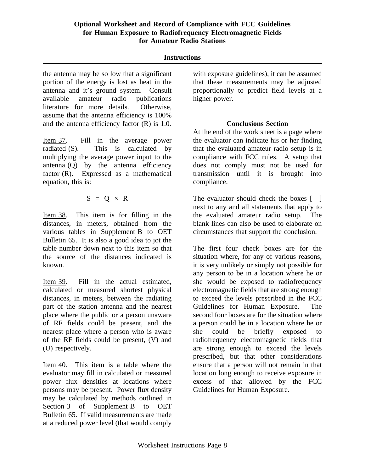#### **Instructions**

the antenna may be so low that a significant portion of the energy is lost as heat in the antenna and it's ground system. Consult available amateur radio publications literature for more details. Otherwise, assume that the antenna efficiency is 100% and the antenna efficiency factor (R) is 1.0.

Item 37. Fill in the average power radiated (S). This is calculated by multiplying the average power input to the antenna (Q) by the antenna efficiency factor (R). Expressed as a mathematical equation, this is:

$$
S = Q \times R
$$

Item 38. This item is for filling in the distances, in meters, obtained from the various tables in Supplement B to OET Bulletin 65. It is also a good idea to jot the table number down next to this item so that the source of the distances indicated is known.

Item 39. Fill in the actual estimated, calculated or measured shortest physical distances, in meters, between the radiating part of the station antenna and the nearest place where the public or a person unaware of RF fields could be present, and the nearest place where a person who is aware of the RF fields could be present, (V) and (U) respectively.

Item 40. This item is a table where the evaluator may fill in calculated or measured power flux densities at locations where persons may be present. Power flux density may be calculated by methods outlined in Section 3 of Supplement B to OET Bulletin 65. If valid measurements are made at a reduced power level (that would comply

with exposure guidelines), it can be assumed that these measurements may be adjusted proportionally to predict field levels at a higher power.

#### **Conclusions Section**

At the end of the work sheet is a page where the evaluator can indicate his or her finding that the evaluated amateur radio setup is in compliance with FCC rules. A setup that does not comply must not be used for transmission until it is brought into compliance.

The evaluator should check the boxes [ ] next to any and all statements that apply to the evaluated amateur radio setup. The blank lines can also be used to elaborate on circumstances that support the conclusion.

The first four check boxes are for the situation where, for any of various reasons, it is very unlikely or simply not possible for any person to be in a location where he or she would be exposed to radiofrequency electromagnetic fields that are strong enough to exceed the levels prescribed in the FCC Guidelines for Human Exposure. The second four boxes are for the situation where a person could be in a location where he or she could be briefly exposed to radiofrequency electromagnetic fields that are strong enough to exceed the levels prescribed, but that other considerations ensure that a person will not remain in that location long enough to receive exposure in excess of that allowed by the FCC Guidelines for Human Exposure.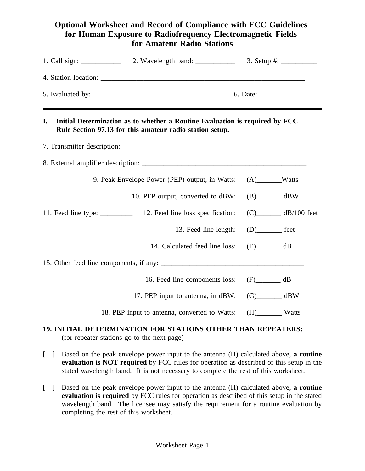| Initial Determination as to whether a Routine Evaluation is required by FCC<br>I.<br>Rule Section 97.13 for this amateur radio station setup. |             |                   |
|-----------------------------------------------------------------------------------------------------------------------------------------------|-------------|-------------------|
|                                                                                                                                               |             |                   |
|                                                                                                                                               |             |                   |
| 9. Peak Envelope Power (PEP) output, in Watts:                                                                                                | $(A)$ Watts |                   |
| 10. PEP output, converted to dBW:                                                                                                             | $(B)$ dBW   |                   |
| 11. Feed line type: _____________ 12. Feed line loss specification:                                                                           |             | $(C)$ dB/100 feet |
| 13. Feed line length:                                                                                                                         | $(D)$ feet  |                   |
| 14. Calculated feed line loss:                                                                                                                | $(E)$ dB    |                   |
|                                                                                                                                               |             |                   |
| 16. Feed line components loss:                                                                                                                | $(F)$ dB    |                   |
| 17. PEP input to antenna, in dBW:                                                                                                             | $(G)$ dBW   |                   |
| 18. PEP input to antenna, converted to Watts:                                                                                                 | (H) Watts   |                   |

## **19. INITIAL DETERMINATION FOR STATIONS OTHER THAN REPEATERS:** (for repeater stations go to the next page)

- [ ] Based on the peak envelope power input to the antenna (H) calculated above, **a routine evaluation is NOT required** by FCC rules for operation as described of this setup in the stated wavelength band. It is not necessary to complete the rest of this worksheet.
- [ ] Based on the peak envelope power input to the antenna (H) calculated above, **a routine evaluation is required** by FCC rules for operation as described of this setup in the stated wavelength band. The licensee may satisfy the requirement for a routine evaluation by completing the rest of this worksheet.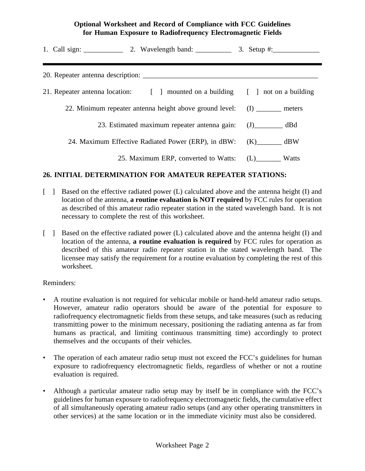| 21. Repeater antenna location: [ ] mounted on a building [ ] not on a building |  |
|--------------------------------------------------------------------------------|--|
| 22. Minimum repeater antenna height above ground level: (I) _______ meters     |  |
| 23. Estimated maximum repeater antenna gain: (J) ________ dBd                  |  |
| 24. Maximum Effective Radiated Power (ERP), in dBW: (K) dBW                    |  |
| 25. Maximum ERP, converted to Watts: (L) ________ Watts                        |  |

## **26. INITIAL DETERMINATION FOR AMATEUR REPEATER STATIONS:**

- [ ] Based on the effective radiated power (L) calculated above and the antenna height (I) and location of the antenna, **a routine evaluation is NOT required** by FCC rules for operation as described of this amateur radio repeater station in the stated wavelength band. It is not necessary to complete the rest of this worksheet.
- [ ] Based on the effective radiated power (L) calculated above and the antenna height (I) and location of the antenna, **a routine evaluation is required** by FCC rules for operation as described of this amateur radio repeater station in the stated wavelength band. The licensee may satisfy the requirement for a routine evaluation by completing the rest of this worksheet.

Reminders:

- A routine evaluation is not required for vehicular mobile or hand-held amateur radio setups. However, amateur radio operators should be aware of the potential for exposure to radiofrequency electromagnetic fields from these setups, and take measures (such as reducing transmitting power to the minimum necessary, positioning the radiating antenna as far from humans as practical, and limiting continuous transmitting time) accordingly to protect themselves and the occupants of their vehicles.
- The operation of each amateur radio setup must not exceed the FCC's guidelines for human exposure to radiofrequency electromagnetic fields, regardless of whether or not a routine evaluation is required.
- Although a particular amateur radio setup may by itself be in compliance with the FCC's guidelines for human exposure to radiofrequency electromagnetic fields, the cumulative effect of all simultaneously operating amateur radio setups (and any other operating transmitters in other services) at the same location or in the immediate vicinity must also be considered.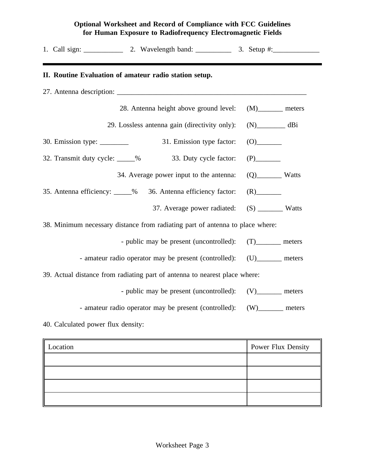| II. Routine Evaluation of amateur radio station setup.                        |                                                                         |                          |  |  |
|-------------------------------------------------------------------------------|-------------------------------------------------------------------------|--------------------------|--|--|
|                                                                               |                                                                         |                          |  |  |
|                                                                               | 28. Antenna height above ground level:                                  | $(M)$ meters             |  |  |
|                                                                               | 29. Lossless antenna gain (directivity only):                           | $(N)$ dBi                |  |  |
| 30. Emission type: $\_\_$                                                     | 31. Emission type factor:                                               |                          |  |  |
| 32. Transmit duty cycle: _____%                                               | 33. Duty cycle factor:                                                  |                          |  |  |
|                                                                               | 34. Average power input to the antenna:                                 | $(Q)$ Watts              |  |  |
|                                                                               | 35. Antenna efficiency: _____% 36. Antenna efficiency factor:           | $(R)$ <sub>_______</sub> |  |  |
|                                                                               | 37. Average power radiated:                                             | $(S)$ Watts              |  |  |
| 38. Minimum necessary distance from radiating part of antenna to place where: |                                                                         |                          |  |  |
|                                                                               | - public may be present (uncontrolled):                                 | $(T)$ meters             |  |  |
|                                                                               | - amateur radio operator may be present (controlled):                   | $(U)$ meters             |  |  |
| 39. Actual distance from radiating part of antenna to nearest place where:    |                                                                         |                          |  |  |
|                                                                               | - public may be present (uncontrolled):                                 | $(V)$ meters             |  |  |
|                                                                               | - amateur radio operator may be present (controlled): (W)_______ meters |                          |  |  |
| 40. Calculated power flux density:                                            |                                                                         |                          |  |  |
| Location                                                                      |                                                                         | Power Flux Density       |  |  |
|                                                                               |                                                                         |                          |  |  |
|                                                                               |                                                                         |                          |  |  |